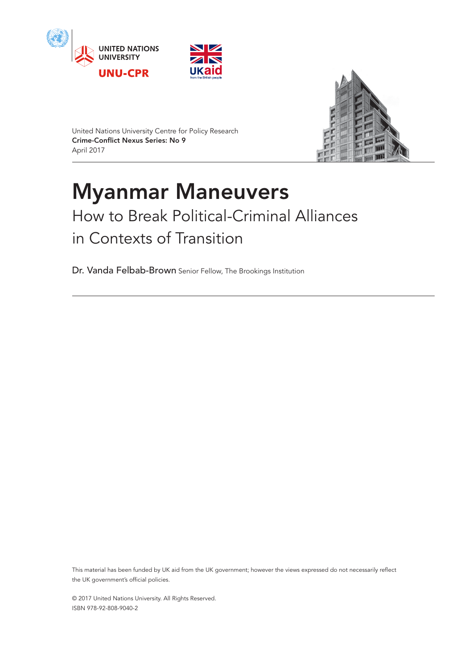





United Nations University Centre for Policy Research Crime-Conflict Nexus Series: No 9 April 2017

# Myanmar Maneuvers How to Break Political-Criminal Alliances in Contexts of Transition

Dr. Vanda Felbab-Brown Senior Fellow, The Brookings Institution

This material has been funded by UK aid from the UK government; however the views expressed do not necessarily reflect the UK government's official policies.

© 2017 United Nations University. All Rights Reserved. ISBN 978-92-808-9040-2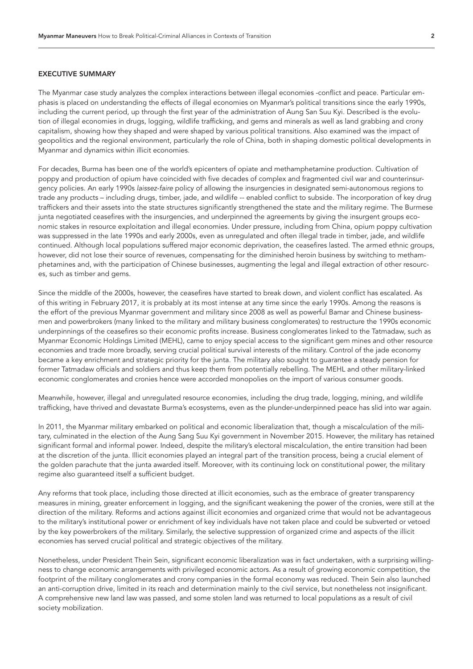# EXECUTIVE SUMMARY

The Myanmar case study analyzes the complex interactions between illegal economies -conflict and peace. Particular emphasis is placed on understanding the effects of illegal economies on Myanmar's political transitions since the early 1990s, including the current period, up through the first year of the administration of Aung San Suu Kyi. Described is the evolution of illegal economies in drugs, logging, wildlife trafficking, and gems and minerals as well as land grabbing and crony capitalism, showing how they shaped and were shaped by various political transitions. Also examined was the impact of geopolitics and the regional environment, particularly the role of China, both in shaping domestic political developments in Myanmar and dynamics within illicit economies.

For decades, Burma has been one of the world's epicenters of opiate and methamphetamine production. Cultivation of poppy and production of opium have coincided with five decades of complex and fragmented civil war and counterinsurgency policies. An early 1990s *laissez-faire* policy of allowing the insurgencies in designated semi-autonomous regions to trade any products – including drugs, timber, jade, and wildlife -- enabled conflict to subside. The incorporation of key drug traffickers and their assets into the state structures significantly strengthened the state and the military regime. The Burmese junta negotiated ceasefires with the insurgencies, and underpinned the agreements by giving the insurgent groups economic stakes in resource exploitation and illegal economies. Under pressure, including from China, opium poppy cultivation was suppressed in the late 1990s and early 2000s, even as unregulated and often illegal trade in timber, jade, and wildlife continued. Although local populations suffered major economic deprivation, the ceasefires lasted. The armed ethnic groups, however, did not lose their source of revenues, compensating for the diminished heroin business by switching to methamphetamines and, with the participation of Chinese businesses, augmenting the legal and illegal extraction of other resources, such as timber and gems.

Since the middle of the 2000s, however, the ceasefires have started to break down, and violent conflict has escalated. As of this writing in February 2017, it is probably at its most intense at any time since the early 1990s. Among the reasons is the effort of the previous Myanmar government and military since 2008 as well as powerful Bamar and Chinese businessmen and powerbrokers (many linked to the military and military business conglomerates) to restructure the 1990s economic underpinnings of the ceasefires so their economic profits increase. Business conglomerates linked to the Tatmadaw, such as Myanmar Economic Holdings Limited (MEHL), came to enjoy special access to the significant gem mines and other resource economies and trade more broadly, serving crucial political survival interests of the military. Control of the jade economy became a key enrichment and strategic priority for the junta. The military also sought to guarantee a steady pension for former Tatmadaw officials and soldiers and thus keep them from potentially rebelling. The MEHL and other military-linked economic conglomerates and cronies hence were accorded monopolies on the import of various consumer goods.

Meanwhile, however, illegal and unregulated resource economies, including the drug trade, logging, mining, and wildlife trafficking, have thrived and devastate Burma's ecosystems, even as the plunder-underpinned peace has slid into war again.

In 2011, the Myanmar military embarked on political and economic liberalization that, though a miscalculation of the military, culminated in the election of the Aung Sang Suu Kyi government in November 2015. However, the military has retained significant formal and informal power. Indeed, despite the military's electoral miscalculation, the entire transition had been at the discretion of the junta. Illicit economies played an integral part of the transition process, being a crucial element of the golden parachute that the junta awarded itself. Moreover, with its continuing lock on constitutional power, the military regime also guaranteed itself a sufficient budget.

Any reforms that took place, including those directed at illicit economies, such as the embrace of greater transparency measures in mining, greater enforcement in logging, and the significant weakening the power of the cronies, were still at the direction of the military. Reforms and actions against illicit economies and organized crime that would not be advantageous to the military's institutional power or enrichment of key individuals have not taken place and could be subverted or vetoed by the key powerbrokers of the military. Similarly, the selective suppression of organized crime and aspects of the illicit economies has served crucial political and strategic objectives of the military.

Nonetheless, under President Thein Sein, significant economic liberalization was in fact undertaken, with a surprising willingness to change economic arrangements with privileged economic actors. As a result of growing economic competition, the footprint of the military conglomerates and crony companies in the formal economy was reduced. Thein Sein also launched an anti-corruption drive, limited in its reach and determination mainly to the civil service, but nonetheless not insignificant. A comprehensive new land law was passed, and some stolen land was returned to local populations as a result of civil society mobilization.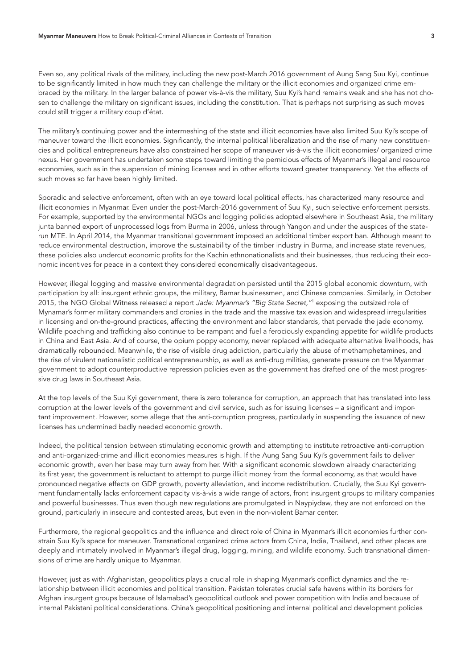Even so, any political rivals of the military, including the new post-March 2016 government of Aung Sang Suu Kyi, continue to be significantly limited in how much they can challenge the military or the illicit economies and organized crime embraced by the military. In the larger balance of power vis-à-vis the military, Suu Kyi's hand remains weak and she has not chosen to challenge the military on significant issues, including the constitution. That is perhaps not surprising as such moves could still trigger a military coup d'état.

The military's continuing power and the intermeshing of the state and illicit economies have also limited Suu Kyi's scope of maneuver toward the illicit economies. Significantly, the internal political liberalization and the rise of many new constituencies and political entrepreneurs have also constrained her scope of maneuver vis-à-vis the illicit economies/ organized crime nexus. Her government has undertaken some steps toward limiting the pernicious effects of Myanmar's illegal and resource economies, such as in the suspension of mining licenses and in other efforts toward greater transparency. Yet the effects of such moves so far have been highly limited.

Sporadic and selective enforcement, often with an eye toward local political effects, has characterized many resource and illicit economies in Myanmar. Even under the post-March-2016 government of Suu Kyi, such selective enforcement persists. For example, supported by the environmental NGOs and logging policies adopted elsewhere in Southeast Asia, the military junta banned export of unprocessed logs from Burma in 2006, unless through Yangon and under the auspices of the staterun MTE. In April 2014, the Myanmar transitional government imposed an additional timber export ban. Although meant to reduce environmental destruction, improve the sustainability of the timber industry in Burma, and increase state revenues, these policies also undercut economic profits for the Kachin ethnonationalists and their businesses, thus reducing their economic incentives for peace in a context they considered economically disadvantageous.

However, illegal logging and massive environmental degradation persisted until the 2015 global economic downturn, with participation by all: insurgent ethnic groups, the military, Bamar businessmen, and Chinese companies. Similarly, in October 2015, the NGO Global Witness released a report *Jade: Myanmar's "Big State Secret,"*[1](#page-29-0) exposing the outsized role of Mynamar's former military commanders and cronies in the trade and the massive tax evasion and widespread irregularities in licensing and on-the-ground practices, affecting the environment and labor standards, that pervade the jade economy. Wildlife poaching and trafficking also continue to be rampant and fuel a ferociously expanding appetite for wildlife products in China and East Asia. And of course, the opium poppy economy, never replaced with adequate alternative livelihoods, has dramatically rebounded. Meanwhile, the rise of visible drug addiction, particularly the abuse of methamphetamines, and the rise of virulent nationalistic political entrepreneurship, as well as anti-drug militias, generate pressure on the Myanmar government to adopt counterproductive repression policies even as the government has drafted one of the most progressive drug laws in Southeast Asia.

At the top levels of the Suu Kyi government, there is zero tolerance for corruption, an approach that has translated into less corruption at the lower levels of the government and civil service, such as for issuing licenses – a significant and important improvement. However, some allege that the anti-corruption progress, particularly in suspending the issuance of new licenses has undermined badly needed economic growth.

Indeed, the political tension between stimulating economic growth and attempting to institute retroactive anti-corruption and anti-organized-crime and illicit economies measures is high. If the Aung Sang Suu Kyi's government fails to deliver economic growth, even her base may turn away from her. With a significant economic slowdown already characterizing its first year, the government is reluctant to attempt to purge illicit money from the formal economy, as that would have pronounced negative effects on GDP growth, poverty alleviation, and income redistribution. Crucially, the Suu Kyi government fundamentally lacks enforcement capacity vis-à-vis a wide range of actors, front insurgent groups to military companies and powerful businesses. Thus even though new regulations are promulgated in Naypiydaw, they are not enforced on the ground, particularly in insecure and contested areas, but even in the non-violent Bamar center.

Furthermore, the regional geopolitics and the influence and direct role of China in Myanmar's illicit economies further constrain Suu Kyi's space for maneuver. Transnational organized crime actors from China, India, Thailand, and other places are deeply and intimately involved in Myanmar's illegal drug, logging, mining, and wildlife economy. Such transnational dimensions of crime are hardly unique to Myanmar.

However, just as with Afghanistan, geopolitics plays a crucial role in shaping Myanmar's conflict dynamics and the relationship between illicit economies and political transition. Pakistan tolerates crucial safe havens within its borders for Afghan insurgent groups because of Islamabad's geopolitical outlook and power competition with India and because of internal Pakistani political considerations. China's geopolitical positioning and internal political and development policies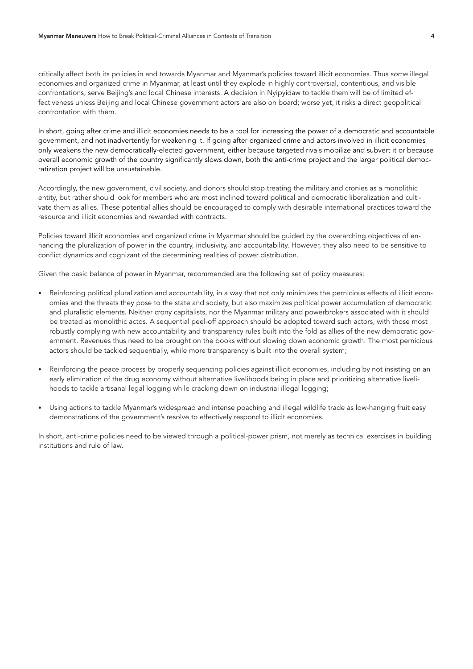critically affect both its policies in and towards Myanmar and Myanmar's policies toward illicit economies. Thus *some* illegal economies and organized crime in Myanmar, at least until they explode in highly controversial, contentious, and visible confrontations, serve Beijing's and local Chinese interests. A decision in Nyipyidaw to tackle them will be of limited effectiveness unless Beijing and local Chinese government actors are also on board; worse yet, it risks a direct geopolitical confrontation with them.

In short, going after crime and illicit economies needs to be a tool for increasing the power of a democratic and accountable government, and not inadvertently for weakening it. If going after organized crime and actors involved in illicit economies only weakens the new democratically-elected government, either because targeted rivals mobilize and subvert it or because overall economic growth of the country significantly slows down, both the anti-crime project and the larger political democratization project will be unsustainable.

Accordingly, the new government, civil society, and donors should stop treating the military and cronies as a monolithic entity, but rather should look for members who are most inclined toward political and democratic liberalization and cultivate them as allies. These potential allies should be encouraged to comply with desirable international practices toward the resource and illicit economies and rewarded with contracts.

Policies toward illicit economies and organized crime in Myanmar should be guided by the overarching objectives of enhancing the pluralization of power in the country, inclusivity, and accountability. However, they also need to be sensitive to conflict dynamics and cognizant of the determining realities of power distribution.

Given the basic balance of power in Myanmar, recommended are the following set of policy measures:

- Reinforcing political pluralization and accountability, in a way that not only minimizes the pernicious effects of illicit economies and the threats they pose to the state and society, but also maximizes political power accumulation of democratic and pluralistic elements. Neither crony capitalists, nor the Myanmar military and powerbrokers associated with it should be treated as monolithic actos. A sequential peel-off approach should be adopted toward such actors, with those most robustly complying with new accountability and transparency rules built into the fold as allies of the new democratic government. Revenues thus need to be brought on the books without slowing down economic growth. The most pernicious actors should be tackled sequentially, while more transparency is built into the overall system;
- Reinforcing the peace process by properly sequencing policies against illicit economies, including by not insisting on an early elimination of the drug economy without alternative livelihoods being in place and prioritizing alternative livelihoods to tackle artisanal legal logging while cracking down on industrial illegal logging;
- Using actions to tackle Myanmar's widespread and intense poaching and illegal wildlife trade as low-hanging fruit easy demonstrations of the government's resolve to effectively respond to illicit economies.

In short, anti-crime policies need to be viewed through a political-power prism, not merely as technical exercises in building institutions and rule of law.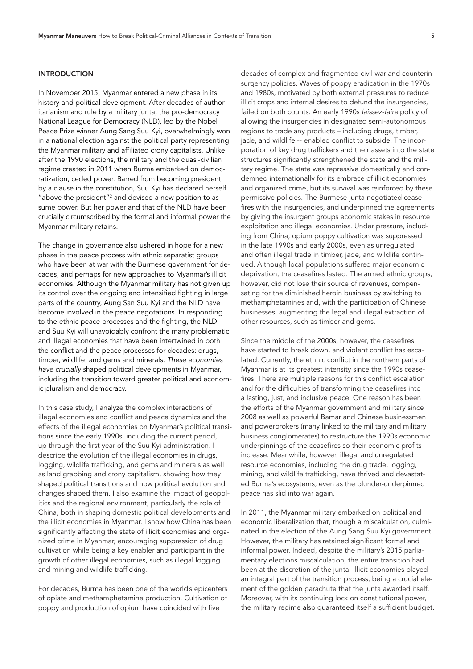## **INTRODUCTION**

In November 2015, Myanmar entered a new phase in its history and political development. After decades of authoritarianism and rule by a military junta, the pro-democracy National League for Democracy (NLD), led by the Nobel Peace Prize winner Aung Sang Suu Kyi, overwhelmingly won in a national election against the political party representing the Myanmar military and affiliated crony capitalists. Unlike after the 1990 elections, the military and the quasi-civilian regime created in 2011 when Burma embarked on democratization, ceded power. Barred from becoming president by a clause in the constitution, Suu Kyi has declared herself "above the president"<sup>2</sup> and devised a new position to assume power. But her power and that of the NLD have been crucially circumscribed by the formal and informal power the Myanmar military retains.

The change in governance also ushered in hope for a new phase in the peace process with ethnic separatist groups who have been at war with the Burmese government for decades, and perhaps for new approaches to Myanmar's illicit economies. Although the Myanmar military has not given up its control over the ongoing and intensified fighting in large parts of the country, Aung San Suu Kyi and the NLD have become involved in the peace negotations. In responding to the ethnic peace processes and the fighting, the NLD and Suu Kyi will unavoidably confront the many problematic and illegal economies that have been intertwined in both the conflict and the peace processes for decades: drugs, timber, wildlife, and gems and minerals. *These economies have crucially s*haped political developments in Myanmar, including the transition toward greater political and economic pluralism and democracy.

In this case study, I analyze the complex interactions of illegal economies and conflict and peace dynamics and the effects of the illegal economies on Myanmar's political transitions since the early 1990s, including the current period, up through the first year of the Suu Kyi administration. I describe the evolution of the illegal economies in drugs, logging, wildlife trafficking, and gems and minerals as well as land grabbing and crony capitalism, showing how they shaped political transitions and how political evolution and changes shaped them. I also examine the impact of geopolitics and the regional environment, particularly the role of China, both in shaping domestic political developments and the illicit economies in Myanmar. I show how China has been significantly affecting the state of illicit economies and organized crime in Myanmar, encouraging suppression of drug cultivation while being a key enabler and participant in the growth of other illegal economies, such as illegal logging and mining and wildlife trafficking.

For decades, Burma has been one of the world's epicenters of opiate and methamphetamine production. Cultivation of poppy and production of opium have coincided with five

decades of complex and fragmented civil war and counterinsurgency policies. Waves of poppy eradication in the 1970s and 1980s, motivated by both external pressures to reduce illicit crops and internal desires to defund the insurgencies, failed on both counts. An early 1990s *laissez-faire* policy of allowing the insurgencies in designated semi-autonomous regions to trade any products – including drugs, timber, jade, and wildlife -- enabled conflict to subside. The incorporation of key drug traffickers and their assets into the state structures significantly strengthened the state and the military regime. The state was repressive domestically and condemned internationally for its embrace of illicit economies and organized crime, but its survival was reinforced by these permissive policies. The Burmese junta negotiated ceasefires with the insurgencies, and underpinned the agreements by giving the insurgent groups economic stakes in resource exploitation and illegal economies. Under pressure, including from China, opium poppy cultivation was suppressed in the late 1990s and early 2000s, even as unregulated and often illegal trade in timber, jade, and wildlife continued. Although local populations suffered major economic deprivation, the ceasefires lasted. The armed ethnic groups, however, did not lose their source of revenues, compensating for the diminished heroin business by switching to methamphetamines and, with the participation of Chinese businesses, augmenting the legal and illegal extraction of other resources, such as timber and gems.

Since the middle of the 2000s, however, the ceasefires have started to break down, and violent conflict has escalated. Currently, the ethnic conflict in the northern parts of Myanmar is at its greatest intensity since the 1990s ceasefires. There are multiple reasons for this conflict escalation and for the difficulties of transforming the ceasefires into a lasting, just, and inclusive peace. One reason has been the efforts of the Myanmar government and military since 2008 as well as powerful Bamar and Chinese businessmen and powerbrokers (many linked to the military and military business conglomerates) to restructure the 1990s economic underpinnings of the ceasefires so their economic profits increase. Meanwhile, however, illegal and unregulated resource economies, including the drug trade, logging, mining, and wildlife trafficking, have thrived and devastated Burma's ecosystems, even as the plunder-underpinned peace has slid into war again.

In 2011, the Myanmar military embarked on political and economic liberalization that, though a miscalculation, culminated in the election of the Aung Sang Suu Kyi government. However, the military has retained significant formal and informal power. Indeed, despite the military's 2015 parliamentary elections miscalculation, the entire transition had been at the discretion of the junta. Illicit economies played an integral part of the transition process, being a crucial element of the golden parachute that the junta awarded itself. Moreover, with its continuing lock on constitutional power, the military regime also guaranteed itself a sufficient budget.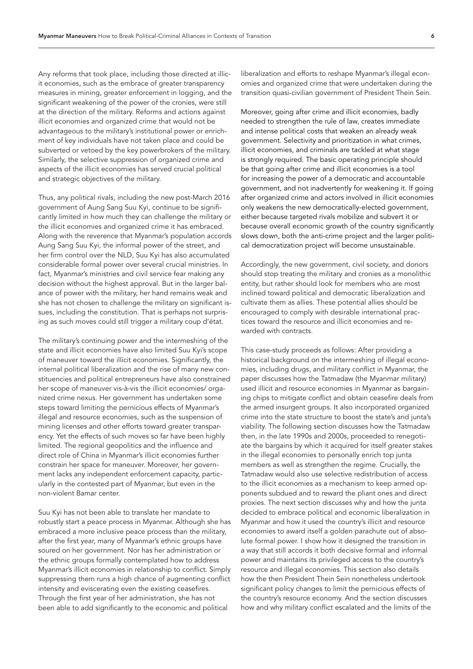Any reforms that took place, including those directed at illicit economies, such as the embrace of greater transparency measures in mining, greater enforcement in logging, and the significant weakening of the power of the cronies, were still at the direction of the military. Reforms and actions against illicit economies and organized crime that would not be advantageous to the military's institutional power or enrichment of key individuals have not taken place and could be subverted or vetoed by the key powerbrokers of the military. Similarly, the selective suppression of organized crime and aspects of the illicit economies has served crucial political and strategic objectives of the military.

Thus, any political rivals, including the new post-March 2016 government of Aung Sang Suu Kyi, continue to be significantly limited in how much they can challenge the military or the illicit economies and organized crime it has embraced. Along with the reverence that Myanmar's population accords Aung Sang Suu Kyi, the informal power of the street, and her firm control over the NLD, Suu Kyi has also accumulated considerable formal power over several crucial ministries. In fact, Myanmar's ministries and civil service fear making any decision without the highest approval. But in the larger balance of power with the military, her hand remains weak and she has not chosen to challenge the military on significant issues, including the constitution. That is perhaps not surprising as such moves could still trigger a military coup d'état.

The military's continuing power and the intermeshing of the state and illicit economies have also limited Suu Kyi's scope of maneuver toward the illicit economies. Significantly, the internal political liberalization and the rise of many new constituencies and political entrepreneurs have also constrained her scope of maneuver vis-à-vis the illicit economies/ organized crime nexus. Her government has undertaken some steps toward limiting the pernicious effects of Myanmar's illegal and resource economies, such as the suspension of mining licenses and other efforts toward greater transparency. Yet the effects of such moves so far have been highly limited. The regional geopolitics and the influence and direct role of China in Myanmar's illicit economies further constrain her space for maneuver. Moreover, her government lacks any independent enforcement capacity, particularly in the contested part of Myanmar, but even in the non-violent Bamar center.

Suu Kyi has not been able to translate her mandate to robustly start a peace process in Myanmar. Although she has embraced a more inclusive peace process than the military, after the first year, many of Myanmar's ethnic groups have soured on her government. Nor has her administration or the ethnic groups formally contemplated how to address Myanmar's illicit economies in relationship to conflict. Simply suppressing them runs a high chance of augmenting conflict intensity and eviscerating even the existing ceasefires. Through the first year of her administration, she has not been able to add significantly to the economic and political

liberalization and efforts to reshape Myanmar's illegal economies and organized crime that were undertaken during the transition quasi-civilian government of President Thein Sein.

Moreover, going after crime and illicit economies, badly needed to strengthen the rule of law, creates immediate and intense political costs that weaken an already weak government. Selectivity and prioritization in what crimes, illicit economies, and criminals are tackled at what stage is strongly required. The basic operating principle should be that going after crime and illicit economies is a tool for increasing the power of a democratic and accountable government, and not inadvertently for weakening it. If going after organized crime and actors involved in illicit economies only weakens the new democratically-elected government, either because targeted rivals mobilize and subvert it or because overall economic growth of the country significantly slows down, both the anti-crime project and the larger political democratization project will become unsustainable.

Accordingly, the new government, civil society, and donors should stop treating the military and cronies as a monolithic entity, but rather should look for members who are most inclined toward political and democratic liberalization and cultivate them as allies. These potential allies should be encouraged to comply with desirable international practices toward the resource and illicit economies and rewarded with contracts.

This case-study proceeds as follows: After providing a historical background on the intermeshing of illegal economies, including drugs, and military conflict in Myanmar, the paper discusses how the Tatmadaw (the Myanmar military) used illicit and resource economies in Myanmar as bargaining chips to mitigate conflict and obtain ceasefire deals from the armed insurgent groups. It also incorporated organized crime into the state structure to boost the state's and junta's viability. The following section discusses how the Tatmadaw then, in the late 1990s and 2000s, proceeded to renegotiate the bargains by which it acquired for itself greater stakes in the illegal economies to personally enrich top junta members as well as strengthen the regime. Crucially, the Tatmadaw would also use selective redistribution of access to the illicit economies as a mechanism to keep armed opponents subdued and to reward the pliant ones and direct proxies. The next section discusses why and how the junta decided to embrace political and economic liberalization in Myanmar and how it used the country's illicit and resource economies to award itself a golden parachute out of absolute formal power. I show how it designed the transition in a way that still accords it both decisive formal and informal power and maintains its privileged access to the country's resource and illegal economies. This section also details how the then President Thein Sein nonetheless undertook significant policy changes to limit the pernicious effects of the country's resource economy. And the section discusses how and why military conflict escalated and the limits of the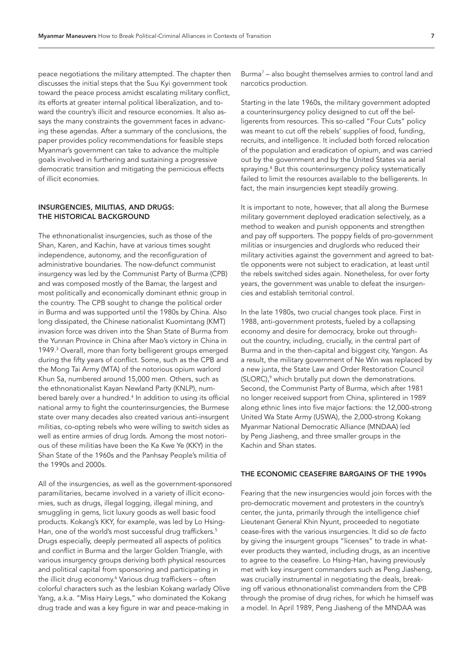peace negotiations the military attempted. The chapter then discusses the initial steps that the Suu Kyi government took toward the peace process amidst escalating military conflict, its efforts at greater internal political liberalization, and toward the country's illicit and resource economies. It also assays the many constraints the government faces in advancing these agendas. After a summary of the conclusions, the paper provides policy recommendations for feasible steps Myanmar's government can take to advance the multiple goals involved in furthering and sustaining a progressive democratic transition and mitigating the pernicious effects of illicit economies.

# INSURGENCIES, MILITIAS, AND DRUGS: THE HISTORICAL BACKGROUND

The ethnonationalist insurgencies, such as those of the Shan, Karen, and Kachin, have at various times sought independence, autonomy, and the reconfiguration of administrative boundaries. The now-defunct communist insurgency was led by the Communist Party of Burma (CPB) and was composed mostly of the Bamar, the largest and most politically and economically dominant ethnic group in the country. The CPB sought to change the political order in Burma and was supported until the 1980s by China. Also long dissipated, the Chinese nationalist Kuomintang (KMT) invasion force was driven into the Shan State of Burma from the Yunnan Province in China after Mao's victory in China in 1949.[3](#page-29-2) Overall, more than forty belligerent groups emerged during the fifty years of conflict. Some, such as the CPB and the Mong Tai Army (MTA) of the notorious opium warlord Khun Sa, numbered around 15,000 men. Others, such as the ethnonationalist Kayan Newland Party (KNLP), numbered barely over a hundred[.4](#page-29-3) In addition to using its official national army to fight the counterinsurgencies, the Burmese state over many decades also created various anti-insurgent militias, co-opting rebels who were willing to switch sides as well as entire armies of drug lords. Among the most notorious of these militias have been the Ka Kwe Ye (KKY) in the Shan State of the 1960s and the Panhsay People's militia of the 1990s and 2000s.

All of the insurgencies, as well as the government-sponsored paramilitaries, became involved in a variety of illicit economies, such as drugs, illegal logging, illegal mining, and smuggling in gems, licit luxury goods as well basic food products. Kokang's KKY, for example, was led by Lo Hsing-Han, one of the world's most successful drug traffickers.<sup>[5](#page-29-4)</sup> Drugs especially, deeply permeated all aspects of politics and conflict in Burma and the larger Golden Triangle, with various insurgency groups deriving both physical resources and political capital from sponsoring and participating in the illicit drug economy.[6](#page-29-5) Various drug traffickers – often colorful characters such as the lesbian Kokang warlady Olive Yang, a.k.a. "Miss Hairy Legs," who dominated the Kokang drug trade and was a key figure in war and peace-making in

Burm[a7](#page-29-6) – also bought themselves armies to control land and narcotics production.

Starting in the late 1960s, the military government adopted a counterinsurgency policy designed to cut off the belligerents from resources. This so-called "Four Cuts" policy was meant to cut off the rebels' supplies of food, funding, recruits, and intelligence. It included both forced relocation of the population and eradication of opium, and was carried out by the government and by the United States via aerial spraying.<sup>[8](#page-29-7)</sup> But this counterinsurgency policy systematically failed to limit the resources available to the belligerents. In fact, the main insurgencies kept steadily growing.

It is important to note, however, that all along the Burmese military government deployed eradication selectively, as a method to weaken and punish opponents and strengthen and pay off supporters. The poppy fields of pro-government militias or insurgencies and druglords who reduced their military activities against the government and agreed to battle opponents were not subject to eradication, at least until the rebels switched sides again. Nonetheless, for over forty years, the government was unable to defeat the insurgencies and establish territorial control.

In the late 1980s, two crucial changes took place. First in 1988, anti-government protests, fueled by a collapsing economy and desire for democracy, broke out throughout the country, including, crucially, in the central part of Burma and in the then-capital and biggest city, Yangon. As a result, the military government of Ne Win was replaced by a new junta, the State Law and Order Restoration Council (SLORC),<sup>9</sup> which brutally put down the demonstrations. Second, the Communist Party of Burma, which after 1981 no longer received support from China, splintered in 1989 along ethnic lines into five major factions: the 12,000-strong United Wa State Army (USWA), the 2,000-strong Kokang Myanmar National Democratic Alliance (MNDAA) led by Peng Jiasheng, and three smaller groups in the Kachin and Shan states.

# THE ECONOMIC CEASEFIRE BARGAINS OF THE 1990s

Fearing that the new insurgencies would join forces with the pro-democratic movement and protesters in the country's center, the junta, primarily through the intelligence chief Lieutenant General Khin Nyunt, proceeded to negotiate cease-fires with the various insurgencies. It did so *de facto* by giving the insurgent groups "licenses" to trade in whatever products they wanted, including drugs, as an incentive to agree to the ceasefire. Lo Hsing-Han, having previously met with key insurgent commanders such as Peng Jiasheng, was crucially instrumental in negotiating the deals, breaking off various ethnonationalist commanders from the CPB through the promise of drug riches, for which he himself was a model. In April 1989, Peng Jiasheng of the MNDAA was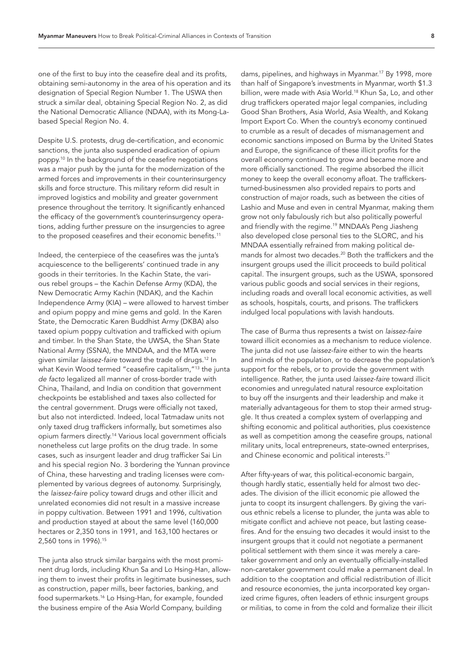one of the first to buy into the ceasefire deal and its profits, obtaining semi-autonomy in the area of his operation and its designation of Special Region Number 1. The USWA then struck a similar deal, obtaining Special Region No. 2, as did the National Democratic Alliance (NDAA), with its Mong-Labased Special Region No. 4.

Despite U.S. protests, drug de-certification, and economic sanctions, the junta also suspended eradication of opium poppy[.10](#page-29-9) In the background of the ceasefire negotiations was a major push by the junta for the modernization of the armed forces and improvements in their counterinsurgency skills and force structure. This military reform did result in improved logistics and mobility and greater government presence throughout the territory. It significantly enhanced the efficacy of the government's counterinsurgency operations, adding further pressure on the insurgencies to agree to the proposed ceasefires and their economic benefits.<sup>11</sup>

Indeed, the centerpiece of the ceasefires was the junta's acquiescence to the belligerents' continued trade in any goods in their territories. In the Kachin State, the various rebel groups – the Kachin Defense Army (KDA), the New Democratic Army Kachin (NDAK), and the Kachin Independence Army (KIA) – were allowed to harvest timber and opium poppy and mine gems and gold. In the Karen State, the Democratic Karen Buddhist Army (DKBA) also taxed opium poppy cultivation and trafficked with opium and timber. In the Shan State, the UWSA, the Shan State National Army (SSNA), the MNDAA, and the MTA were given similar *laissez-faire* toward the trade of drugs.[12](#page-29-11) In what Kevin Wood termed "ceasefire capitalism,["13](#page-29-12) the junta *de facto* legalized all manner of cross-border trade with China, Thailand, and India on condition that government checkpoints be established and taxes also collected for the central government. Drugs were officially not taxed, but also not interdicted. Indeed, local Tatmadaw units not only taxed drug traffickers informally, but sometimes also opium farmers directly.[14](#page-29-13) Various local government officials nonetheless cut large profits on the drug trade. In some cases, such as insurgent leader and drug trafficker Sai Lin and his special region No. 3 bordering the Yunnan province of China, these harvesting and trading licenses were complemented by various degrees of autonomy. Surprisingly, the *laissez-faire* policy toward drugs and other illicit and unrelated economies did not result in a massive increase in poppy cultivation. Between 1991 and 1996, cultivation and production stayed at about the same level (160,000 hectares or 2,350 tons in 1991, and 163,100 hectares or 2,560 tons in 1996)[.15](#page-29-14)

The junta also struck similar bargains with the most prominent drug lords, including Khun Sa and Lo Hsing-Han, allowing them to invest their profits in legitimate businesses, such as construction, paper mills, beer factories, banking, and food supermarkets[.16](#page-29-15) Lo Hsing-Han, for example, founded the business empire of the Asia World Company, building

dams, pipelines, and highways in Myanmar[.17](#page-29-16) By 1998, more than half of Singapore's investments in Myanmar, worth \$1.3 billion, were made with Asia World.<sup>18</sup> Khun Sa, Lo, and other drug traffickers operated major legal companies, including Good Shan Brothers, Asia World, Asia Wealth, and Kokang Import Export Co. When the country's economy continued to crumble as a result of decades of mismanagement and economic sanctions imposed on Burma by the United States and Europe, the significance of these illicit profits for the overall economy continued to grow and became more and more officially sanctioned. The regime absorbed the illicit money to keep the overall economy afloat. The traffickersturned-businessmen also provided repairs to ports and construction of major roads, such as between the cities of Lashio and Muse and even in central Myanmar, making them grow not only fabulously rich but also politically powerful and friendly with the regime.[19](#page-29-18) MNDAA's Peng Jiasheng also developed close personal ties to the SLORC, and his MNDAA essentially refrained from making political demands for almost two decades.[20](#page-29-19) Both the traffickers and the insurgent groups used the illicit proceeds to build political capital. The insurgent groups, such as the USWA, sponsored various public goods and social services in their regions, including roads and overall local economic activities, as well as schools, hospitals, courts, and prisons. The traffickers indulged local populations with lavish handouts.

The case of Burma thus represents a twist on *laissez-faire* toward illicit economies as a mechanism to reduce violence. The junta did not use *laissez-faire* either to win the hearts and minds of the population, or to decrease the population's support for the rebels, or to provide the government with intelligence. Rather, the junta used *laissez-faire* toward illicit economies and unregulated natural resource exploitation to buy off the insurgents and their leadership and make it materially advantageous for them to stop their armed struggle. It thus created a complex system of overlapping and shifting economic and political authorities, plus coexistence as well as competition among the ceasefire groups, national military units, local entrepreneurs, state-owned enterprises, and Chinese economic and political interests.<sup>21</sup>

After fifty-years of war, this political-economic bargain, though hardly static, essentially held for almost two decades. The division of the illicit economic pie allowed the junta to coopt its insurgent challengers. By giving the various ethnic rebels a license to plunder, the junta was able to mitigate conflict and achieve not peace, but lasting ceasefires. And for the ensuing two decades it would insist to the insurgent groups that it could not negotiate a permanent political settlement with them since it was merely a caretaker government and only an eventually officially-installed non-caretaker government could make a permanent deal. In addition to the cooptation and official redistribution of illicit and resource economies, the junta incorporated key organized crime figures, often leaders of ethnic insurgent groups or militias, to come in from the cold and formalize their illicit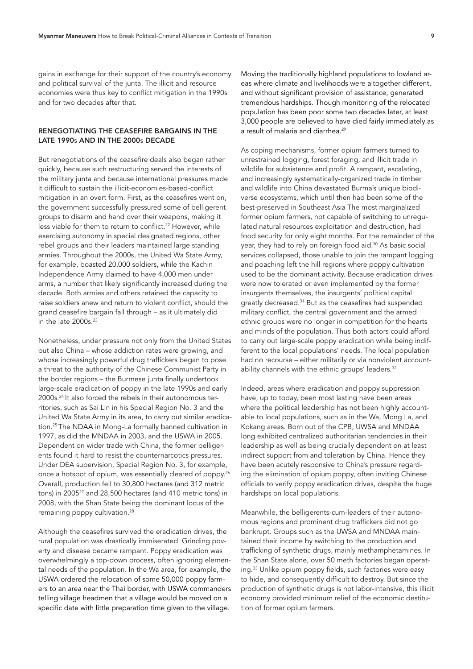gains in exchange for their support of the country's economy and political survival of the junta. The illicit and resource economies were thus key to conflict mitigation in the 1990s and for two decades after that.

# RENEGOTIATING THE CEASEFIRE BARGAINS IN THE LATE 1990s AND IN THE 2000s DECADE

But renegotiations of the ceasefire deals also began rather quickly, because such restructuring served the interests of the military junta and because international pressures made it difficult to sustain the illicit-economies-based-conflict mitigation in an overt form. First, as the ceasefires went on, the government successfully pressured some of belligerent groups to disarm and hand over their weapons, making it less viable for them to return to conflict.<sup>22</sup> However, while exercising autonomy in special designated regions, other rebel groups and their leaders maintained large standing armies. Throughout the 2000s, the United Wa State Army, for example, boasted 20,000 soldiers, while the Kachin Independence Army claimed to have 4,000 men under arms, a number that likely significantly increased during the decade. Both armies and others retained the capacity to raise soldiers anew and return to violent conflict, should the grand ceasefire bargain fall through – as it ultimately did in the late  $2000s.<sup>23</sup>$ 

Nonetheless, under pressure not only from the United States but also China – whose addiction rates were growing, and whose increasingly powerful drug traffickers began to pose a threat to the authority of the Chinese Communist Party in the border regions – the Burmese junta finally undertook large-scale eradication of poppy in the late 1990s and early 2000s.[24](#page-29-23) It also forced the rebels in their autonomous territories, such as Sai Lin in his Special Region No. 3 and the United Wa State Army in its area, to carry out similar eradication[.25](#page-29-24) The NDAA in Mong-La formally banned cultivation in 1997, as did the MNDAA in 2003, and the USWA in 2005. Dependent on wider trade with China, the former belligerents found it hard to resist the counternarcotics pressures. Under DEA supervision, Special Region No. 3, for example, once a hotspot of opium, was essentially cleared of poppy.[26](#page-30-0) Overall, production fell to 30,800 hectares (and 312 metric tons) in 2005<sup>[27](#page-30-1)</sup> and 28,500 hectares (and 410 metric tons) in 2008, with the Shan State being the dominant locus of the remaining poppy cultivation.<sup>28</sup>

Although the ceasefires survived the eradication drives, the rural population was drastically immiserated. Grinding poverty and disease became rampant. Poppy eradication was overwhelmingly a top-down process, often ignoring elemental needs of the population. In the Wa area, for example, the USWA ordered the relocation of some 50,000 poppy farmers to an area near the Thai border, with USWA commanders telling village headmen that a village would be moved on a specific date with little preparation time given to the village.

Moving the traditionally highland populations to lowland areas where climate and livelihoods were altogether different, and without significant provision of assistance, generated tremendous hardships. Though monitoring of the relocated population has been poor some two decades later, at least 3,000 people are believed to have died fairly immediately as a result of malaria and diarrhea.<sup>[29](#page-30-3)</sup>

As coping mechanisms, former opium farmers turned to unrestrained logging, forest foraging, and illicit trade in wildlife for subsistence and profit. A rampant, escalating, and increasingly systematically-organized trade in timber and wildlife into China devastated Burma's unique biodiverse ecosystems, which until then had been some of the best-preserved in Southeast Asia The most marginalized former opium farmers, not capable of switching to unregulated natural resources exploitation and destruction, had food security for only eight months. For the remainder of the year, they had to rely on foreign food aid.<sup>[30](#page-30-4)</sup> As basic social services collapsed, those unable to join the rampant logging and poaching left the hill regions where poppy cultivation used to be the dominant activity. Because eradication drives were now tolerated or even implemented by the former insurgents themselves, the insurgents' political capital greatly decreased.<sup>31</sup> But as the ceasefires had suspended military conflict, the central government and the armed ethnic groups were no longer in competition for the hearts and minds of the population. Thus both actors could afford to carry out large-scale poppy eradication while being indifferent to the local populations' needs. The local population had no recourse – either militarily or via nonviolent accountability channels with the ethnic groups' leaders.<sup>32</sup>

Indeed, areas where eradication and poppy suppression have, up to today, been most lasting have been areas where the political leadership has not been highly accountable to local populations, such as in the Wa, Mong La, and Kokang areas. Born out of the CPB, UWSA and MNDAA long exhibited centralized authoritarian tendencies in their leadership as well as being crucially dependent on at least indirect support from and toleration by China. Hence they have been acutely responsive to China's pressure regarding the elimination of opium poppy, often inviting Chinese officials to verify poppy eradication drives, despite the huge hardships on local populations.

Meanwhile, the belligerents-cum-leaders of their autonomous regions and prominent drug traffickers did not go bankrupt. Groups such as the UWSA and MNDAA maintained their income by switching to the production and trafficking of synthetic drugs, mainly methamphetamines. In the Shan State alone, over 50 meth factories began operating[.33](#page-30-7) Unlike opium poppy fields, such factories were easy to hide, and consequently difficult to destroy. But since the production of synthetic drugs is not labor-intensive, this illicit economy provided minimum relief of the economic destitution of former opium farmers.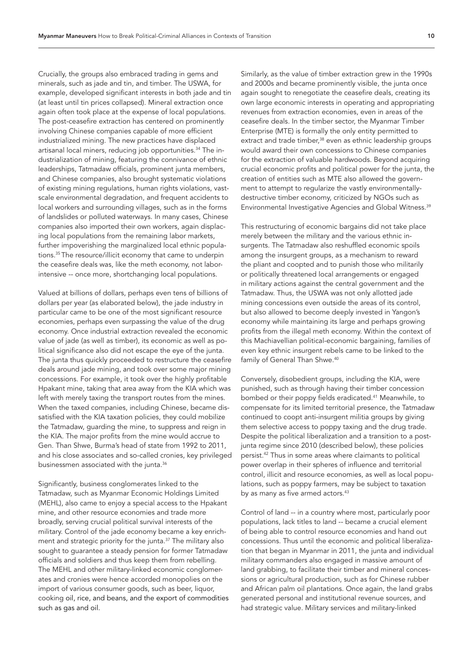Crucially, the groups also embraced trading in gems and minerals, such as jade and tin, and timber. The USWA, for example, developed significant interests in both jade and tin (at least until tin prices collapsed). Mineral extraction once again often took place at the expense of local populations. The post-ceasefire extraction has centered on prominently involving Chinese companies capable of more efficient industrialized mining. The new practices have displaced artisanal local miners, reducing job opportunities[.34](#page-30-8) The industrialization of mining, featuring the connivance of ethnic leaderships, Tatmadaw officials, prominent junta members, and Chinese companies, also brought systematic violations of existing mining regulations, human rights violations, vastscale environmental degradation, and frequent accidents to local workers and surrounding villages, such as in the forms of landslides or polluted waterways. In many cases, Chinese companies also imported their own workers, again displacing local populations from the remaining labor markets, further impoverishing the marginalized local ethnic populations[.35](#page-30-9) The resource/illicit economy that came to underpin the ceasefire deals was, like the meth economy, not laborintensive -- once more, shortchanging local populations.

Valued at billions of dollars, perhaps even tens of billions of dollars per year (as elaborated below), the jade industry in particular came to be one of the most significant resource economies, perhaps even surpassing the value of the drug economy. Once industrial extraction revealed the economic value of jade (as well as timber), its economic as well as political significance also did not escape the eye of the junta. The junta thus quickly proceeded to restructure the ceasefire deals around jade mining, and took over some major mining concessions. For example, it took over the highly profitable Hpakant mine, taking that area away from the KIA which was left with merely taxing the transport routes from the mines. When the taxed companies, including Chinese, became dissatisfied with the KIA taxation policies, they could mobilize the Tatmadaw, guarding the mine, to suppress and reign in the KIA. The major profits from the mine would accrue to Gen. Than Shwe, Burma's head of state from 1992 to 2011, and his close associates and so-called cronies, key privileged businessmen associated with the junta.<sup>36</sup>

Significantly, business conglomerates linked to the Tatmadaw, such as Myanmar Economic Holdings Limited (MEHL), also came to enjoy a special access to the Hpakant mine, and other resource economies and trade more broadly, serving crucial political survival interests of the military. Control of the jade economy became a key enrichment and strategic priority for the junta[.37](#page-30-11) The military also sought to guarantee a steady pension for former Tatmadaw officials and soldiers and thus keep them from rebelling. The MEHL and other military-linked economic conglomerates and cronies were hence accorded monopolies on the import of various consumer goods, such as beer, liquor, cooking oil, rice, and beans, and the export of commodities such as gas and oil.

Similarly, as the value of timber extraction grew in the 1990s and 2000s and became prominently visible, the junta once again sought to renegotiate the ceasefire deals, creating its own large economic interests in operating and appropriating revenues from extraction economies, even in areas of the ceasefire deals. In the timber sector, the Myanmar Timber Enterprise (MTE) is formally the only entity permitted to extract and trade timber,<sup>38</sup> even as ethnic leadership groups would award their own concessions to Chinese companies for the extraction of valuable hardwoods. Beyond acquiring crucial economic profits and political power for the junta, the creation of entities such as MTE also allowed the government to attempt to regularize the vastly environmentallydestructive timber economy, criticized by NGOs such as Environmental Investigative Agencies and Global Witness.[39](#page-30-13)

This restructuring of economic bargains did not take place merely between the military and the various ethnic insurgents. The Tatmadaw also reshuffled economic spoils among the insurgent groups, as a mechanism to reward the pliant and coopted and to punish those who militarily or politically threatened local arrangements or engaged in military actions against the central government and the Tatmadaw. Thus, the USWA was not only allotted jade mining concessions even outside the areas of its control, but also allowed to become deeply invested in Yangon's economy while maintaining its large and perhaps growing profits from the illegal meth economy. Within the context of this Machiavellian political-economic bargaining, families of even key ethnic insurgent rebels came to be linked to the family of General Than Shwe.<sup>[40](#page-30-14)</sup>

Conversely, disobedient groups, including the KIA, were punished, such as through having their timber concession bombed or their poppy fields eradicated.<sup>[41](#page-30-15)</sup> Meanwhile, to compensate for its limited territorial presence, the Tatmadaw continued to coopt anti-insurgent militia groups by giving them selective access to poppy taxing and the drug trade. Despite the political liberalization and a transition to a postjunta regime since 2010 (described below), these policies persist[.42](#page-30-16) Thus in some areas where claimants to political power overlap in their spheres of influence and territorial control, illicit and resource economies, as well as local populations, such as poppy farmers, may be subject to taxation by as many as five armed actors.<sup>[43](#page-30-17)</sup>

Control of land -- in a country where most, particularly poor populations, lack titles to land -- became a crucial element of being able to control resource economies and hand out concessions. Thus until the economic and political liberalization that began in Myanmar in 2011, the junta and individual military commanders also engaged in massive amount of land grabbing, to facilitate their timber and mineral concessions or agricultural production, such as for Chinese rubber and African palm oil plantations. Once again, the land grabs generated personal and institutional revenue sources, and had strategic value. Military services and military-linked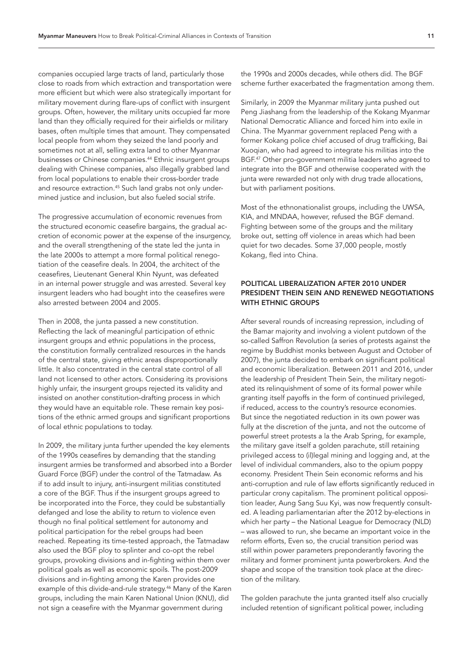companies occupied large tracts of land, particularly those close to roads from which extraction and transportation were more efficient but which were also strategically important for military movement during flare-ups of conflict with insurgent groups. Often, however, the military units occupied far more land than they officially required for their airfields or military bases, often multiple times that amount. They compensated local people from whom they seized the land poorly and sometimes not at all, selling extra land to other Myanmar businesses or Chinese companies[.44](#page-30-18) Ethnic insurgent groups dealing with Chinese companies, also illegally grabbed land from local populations to enable their cross-border trade and resource extraction.<sup>45</sup> Such land grabs not only undermined justice and inclusion, but also fueled social strife.

The progressive accumulation of economic revenues from the structured economic ceasefire bargains, the gradual accretion of economic power at the expense of the insurgency, and the overall strengthening of the state led the junta in the late 2000s to attempt a more formal political renegotiation of the ceasefire deals. In 2004, the architect of the ceasefires, Lieutenant General Khin Nyunt, was defeated in an internal power struggle and was arrested. Several key insurgent leaders who had bought into the ceasefires were also arrested between 2004 and 2005.

Then in 2008, the junta passed a new constitution. Reflecting the lack of meaningful participation of ethnic insurgent groups and ethnic populations in the process, the constitution formally centralized resources in the hands of the central state, giving ethnic areas disproportionally little. It also concentrated in the central state control of all land not licensed to other actors. Considering its provisions highly unfair, the insurgent groups rejected its validity and insisted on another constitution-drafting process in which they would have an equitable role. These remain key positions of the ethnic armed groups and significant proportions of local ethnic populations to today.

In 2009, the military junta further upended the key elements of the 1990s ceasefires by demanding that the standing insurgent armies be transformed and absorbed into a Border Guard Force (BGF) under the control of the Tatmadaw. As if to add insult to injury, anti-insurgent militias constituted a core of the BGF. Thus if the insurgent groups agreed to be incorporated into the Force, they could be substantially defanged and lose the ability to return to violence even though no final political settlement for autonomy and political participation for the rebel groups had been reached. Repeating its time-tested approach, the Tatmadaw also used the BGF ploy to splinter and co-opt the rebel groups, provoking divisions and in-fighting within them over political goals as well as economic spoils. The post-2009 divisions and in-fighting among the Karen provides one example of this divide-and-rule strategy[.46](#page-30-20) Many of the Karen groups, including the main Karen National Union (KNU), did not sign a ceasefire with the Myanmar government during

the 1990s and 2000s decades, while others did. The BGF scheme further exacerbated the fragmentation among them.

Similarly, in 2009 the Myanmar military junta pushed out Peng Jiashang from the leadership of the Kokang Myanmar National Democratic Alliance and forced him into exile in China. The Myanmar government replaced Peng with a former Kokang police chief accused of drug trafficking, Bai Xuoqian, who had agreed to integrate his militias into the BGF[.47](#page-31-0) Other pro-government militia leaders who agreed to integrate into the BGF and otherwise cooperated with the junta were rewarded not only with drug trade allocations, but with parliament positions.

Most of the ethnonationalist groups, including the UWSA, KIA, and MNDAA, however, refused the BGF demand. Fighting between some of the groups and the military broke out, setting off violence in areas which had been quiet for two decades. Some 37,000 people, mostly Kokang, fled into China.

# POLITICAL LIBERALIZATION AFTER 2010 UNDER PRESIDENT THEIN SEIN AND RENEWED NEGOTIATIONS WITH ETHNIC GROUPS

After several rounds of increasing repression, including of the Bamar majority and involving a violent putdown of the so-called Saffron Revolution (a series of protests against the regime by Buddhist monks between August and October of 2007), the junta decided to embark on significant political and economic liberalization. Between 2011 and 2016, under the leadership of President Thein Sein, the military negotiated its relinquishment of some of its formal power while granting itself payoffs in the form of continued privileged, if reduced, access to the country's resource economies. But since the negotiated reduction in its own power was fully at the discretion of the junta, and not the outcome of powerful street protests a la the Arab Spring, for example, the military gave itself a golden parachute, still retaining privileged access to (il)legal mining and logging and, at the level of individual commanders, also to the opium poppy economy. President Thein Sein economic reforms and his anti-corruption and rule of law efforts significantly reduced in particular crony capitalism. The prominent political opposition leader, Aung Sang Suu Kyi, was now frequently consulted. A leading parliamentarian after the 2012 by-elections in which her party – the National League for Democracy (NLD) – was allowed to run, she became an important voice in the reform efforts, Even so, the crucial transition period was still within power parameters preponderantly favoring the military and former prominent junta powerbrokers. And the shape and scope of the transition took place at the direction of the military.

The golden parachute the junta granted itself also crucially included retention of significant political power, including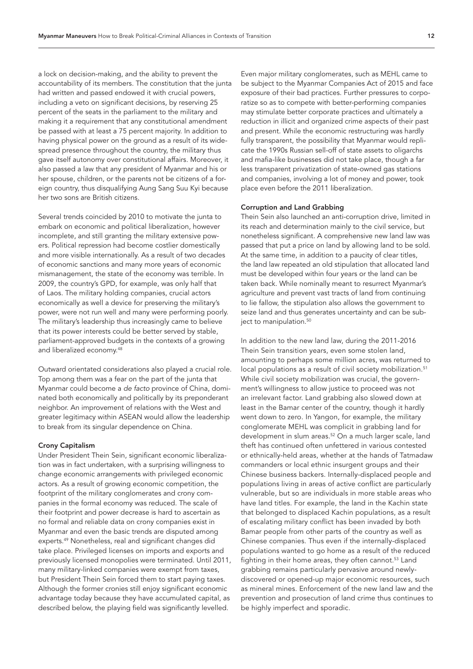a lock on decision-making, and the ability to prevent the accountability of its members. The constitution that the junta had written and passed endowed it with crucial powers, including a veto on significant decisions, by reserving 25 percent of the seats in the parliament to the military and making it a requirement that any constitutional amendment be passed with at least a 75 percent majority. In addition to having physical power on the ground as a result of its widespread presence throughout the country, the military thus gave itself autonomy over constitutional affairs. Moreover, it also passed a law that any president of Myanmar and his or her spouse, children, or the parents not be citizens of a foreign country, thus disqualifying Aung Sang Suu Kyi because her two sons are British citizens.

Several trends coincided by 2010 to motivate the junta to embark on economic and political liberalization, however incomplete, and still granting the military extensive powers. Political repression had become costlier domestically and more visible internationally. As a result of two decades of economic sanctions and many more years of economic mismanagement, the state of the economy was terrible. In 2009, the country's GPD, for example, was only half that of Laos. The military holding companies, crucial actors economically as well a device for preserving the military's power, were not run well and many were performing poorly. The military's leadership thus increasingly came to believe that its power interests could be better served by stable, parliament-approved budgets in the contexts of a growing and liberalized economy[.48](#page-31-1)

Outward orientated considerations also played a crucial role. Top among them was a fear on the part of the junta that Myanmar could become a *de facto* province of China, dominated both economically and politically by its preponderant neighbor. An improvement of relations with the West and greater legitimacy within ASEAN would allow the leadership to break from its singular dependence on China.

#### Crony Capitalism

Under President Thein Sein, significant economic liberalization was in fact undertaken, with a surprising willingness to change economic arrangements with privileged economic actors. As a result of growing economic competition, the footprint of the military conglomerates and crony companies in the formal economy was reduced. The scale of their footprint and power decrease is hard to ascertain as no formal and reliable data on crony companies exist in Myanmar and even the basic trends are disputed among experts[.49](#page-31-2) Nonetheless, real and significant changes did take place. Privileged licenses on imports and exports and previously licensed monopolies were terminated. Until 2011, many military-linked companies were exempt from taxes, but President Thein Sein forced them to start paying taxes. Although the former cronies still enjoy significant economic advantage today because they have accumulated capital, as described below, the playing field was significantly levelled.

Even major military conglomerates, such as MEHL came to be subject to the Myanmar Companies Act of 2015 and face exposure of their bad practices. Further pressures to corporatize so as to compete with better-performing companies may stimulate better corporate practices and ultimately a reduction in illicit and organized crime aspects of their past and present. While the economic restructuring was hardly fully transparent, the possibility that Myanmar would replicate the 1990s Russian sell-off of state assets to oligarchs and mafia-like businesses did not take place, though a far less transparent privatization of state-owned gas stations and companies, involving a lot of money and power, took place even before the 2011 liberalization.

## Corruption and Land Grabbing

Thein Sein also launched an anti-corruption drive, limited in its reach and determination mainly to the civil service, but nonetheless significant. A comprehensive new land law was passed that put a price on land by allowing land to be sold. At the same time, in addition to a paucity of clear titles, the land law repeated an old stipulation that allocated land must be developed within four years or the land can be taken back. While nominally meant to resurrect Myanmar's agriculture and prevent vast tracts of land from continuing to lie fallow, the stipulation also allows the government to seize land and thus generates uncertainty and can be sub-ject to manipulation.<sup>[50](#page-31-3)</sup>

In addition to the new land law, during the 2011-2016 Thein Sein transition years, even some stolen land, amounting to perhaps some million acres, was returned to local populations as a result of civil society mobilization.<sup>[51](#page-31-4)</sup> While civil society mobilization was crucial, the government's willingness to allow justice to proceed was not an irrelevant factor. Land grabbing also slowed down at least in the Bamar center of the country, though it hardly went down to zero. In Yangon, for example, the military conglomerate MEHL was complicit in grabbing land for development in slum areas.<sup>52</sup> On a much larger scale, land theft has continued often unfettered in various contested or ethnically-held areas, whether at the hands of Tatmadaw commanders or local ethnic insurgent groups and their Chinese business backers. Internally-displaced people and populations living in areas of active conflict are particularly vulnerable, but so are individuals in more stable areas who have land titles. For example, the land in the Kachin state that belonged to displaced Kachin populations, as a result of escalating military conflict has been invaded by both Bamar people from other parts of the country as well as Chinese companies. Thus even if the internally-displaced populations wanted to go home as a result of the reduced fighting in their home areas, they often cannot.<sup>53</sup> Land grabbing remains particularly pervasive around newlydiscovered or opened-up major economic resources, such as mineral mines. Enforcement of the new land law and the prevention and prosecution of land crime thus continues to be highly imperfect and sporadic.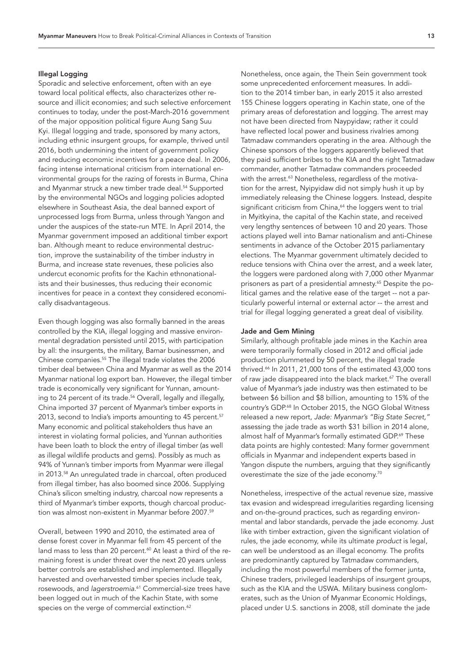# Illegal Logging

Sporadic and selective enforcement, often with an eye toward local political effects, also characterizes other resource and illicit economies; and such selective enforcement continues to today, under the post-March-2016 government of the major opposition political figure Aung Sang Suu Kyi. Illegal logging and trade, sponsored by many actors, including ethnic insurgent groups, for example, thrived until 2016, both undermining the intent of government policy and reducing economic incentives for a peace deal. In 2006, facing intense international criticism from international environmental groups for the razing of forests in Burma, China and Myanmar struck a new timber trade deal.<sup>54</sup> Supported by the environmental NGOs and logging policies adopted elsewhere in Southeast Asia, the deal banned export of unprocessed logs from Burma, unless through Yangon and under the auspices of the state-run MTE. In April 2014, the Myanmar government imposed an additional timber export ban. Although meant to reduce environmental destruction, improve the sustainability of the timber industry in Burma, and increase state revenues, these policies also undercut economic profits for the Kachin ethnonationalists and their businesses, thus reducing their economic incentives for peace in a context they considered economically disadvantageous.

Even though logging was also formally banned in the areas controlled by the KIA, illegal logging and massive environmental degradation persisted until 2015, with participation by all: the insurgents, the military, Bamar businessmen, and Chinese companies[.55](#page-31-8) The illegal trade violates the 2006 timber deal between China and Myanmar as well as the 2014 Myanmar national log export ban. However, the illegal timber trade is economically very significant for Yunnan, amounting to 24 percent of its trade.<sup>56</sup> Overall, legally and illegally, China imported 37 percent of Myanmar's timber exports in 2013, second to India's imports amounting to 45 percent.<sup>[57](#page-31-10)</sup> Many economic and political stakeholders thus have an interest in violating formal policies, and Yunnan authorities have been loath to block the entry of illegal timber (as well as illegal wildlife products and gems). Possibly as much as 94% of Yunnan's timber imports from Myanmar were illegal in 2013[.58](#page-31-11) An unregulated trade in charcoal, often produced from illegal timber, has also boomed since 2006. Supplying China's silicon smelting industry, charcoal now represents a third of Myanmar's timber exports, though charcoal production was almost non-existent in Myanmar before 2007.[59](#page-31-12)

Overall, between 1990 and 2010, the estimated area of dense forest cover in Myanmar fell from 45 percent of the land mass to less than 20 percent.<sup>[60](#page-31-13)</sup> At least a third of the remaining forest is under threat over the next 20 years unless better controls are established and implemented. Illegally harvested and overharvested timber species include teak, rosewoods, and *lagerstroemia*. [61](#page-31-14) Commercial-size trees have been logged out in much of the Kachin State, with some species on the verge of commercial extinction.<sup>[62](#page-31-15)</sup>

Nonetheless, once again, the Thein Sein government took some unprecedented enforcement measures. In addition to the 2014 timber ban, in early 2015 it also arrested 155 Chinese loggers operating in Kachin state, one of the primary areas of deforestation and logging. The arrest may not have been directed from Naypyidaw; rather it could have reflected local power and business rivalries among Tatmadaw commanders operating in the area. Although the Chinese sponsors of the loggers apparently believed that they paid sufficient bribes to the KIA and the right Tatmadaw commander, another Tatmadaw commanders proceeded with the arrest.<sup>63</sup> Nonetheless, regardless of the motivation for the arrest, Nyipyidaw did not simply hush it up by immediately releasing the Chinese loggers. Instead, despite significant criticism from China,<sup>64</sup> the loggers went to trial in Myitkyina, the capital of the Kachin state, and received very lengthy sentences of between 10 and 20 years. Those actions played well into Bamar nationalism and anti-Chinese sentiments in advance of the October 2015 parliamentary elections. The Myanmar government ultimately decided to reduce tensions with China over the arrest, and a week later, the loggers were pardoned along with 7,000 other Myanmar prisoners as part of a presidential amnesty.<sup>65</sup> Despite the political games and the relative ease of the target -- not a particularly powerful internal or external actor -- the arrest and trial for illegal logging generated a great deal of visibility.

#### Jade and Gem Mining

Similarly, although profitable jade mines in the Kachin area were temporarily formally closed in 2012 and official jade production plummeted by 50 percent, the illegal trade thrived.<sup>66</sup> In 2011, 21,000 tons of the estimated 43,000 tons of raw jade disappeared into the black market.<sup>67</sup> The overall value of Myanmar's jade industry was then estimated to be between \$6 billion and \$8 billion, amounting to 15% of the country's GDP.[68](#page-31-21) In October 2015, the NGO Global Witness released a new report, *Jade: Myanmar's "Big State Secret,"*  assessing the jade trade as worth \$31 billion in 2014 alone, almost half of Myanmar's formally estimated GDP.<sup>69</sup> These data points are highly contested: Many former government officials in Myanmar and independent experts based in Yangon dispute the numbers, arguing that they significantly overestimate the size of the jade economy.[70](#page-31-23)

Nonetheless, irrespective of the actual revenue size, massive tax evasion and widespread irregularities regarding licensing and on-the-ground practices, such as regarding environmental and labor standards, pervade the jade economy. Just like with timber extraction, given the significant violation of rules, the jade economy, while its ultimate *product* is legal, can well be understood as an illegal economy. The profits are predominantly captured by Tatmadaw commanders, including the most powerful members of the former junta, Chinese traders, privileged leaderships of insurgent groups, such as the KIA and the USWA. Military business conglomerates, such as the Union of Myanmar Economic Holdings, placed under U.S. sanctions in 2008, still dominate the jade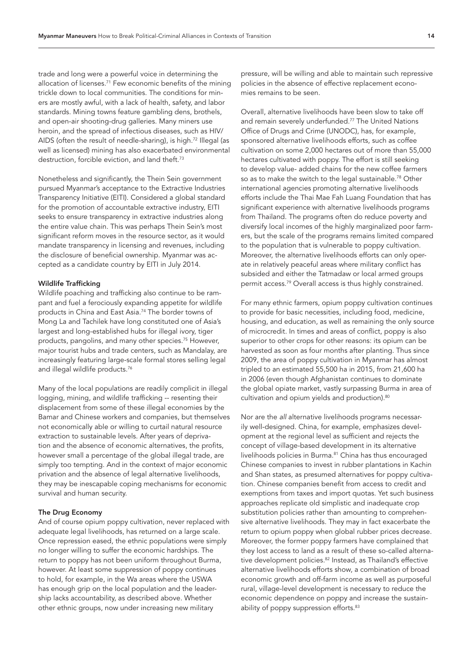trade and long were a powerful voice in determining the allocation of licenses.<sup>71</sup> Few economic benefits of the mining trickle down to local communities. The conditions for miners are mostly awful, with a lack of health, safety, and labor standards. Mining towns feature gambling dens, brothels, and open-air shooting-drug galleries. Many miners use heroin, and the spread of infectious diseases, such as HIV/ AIDS (often the result of needle-sharing), is high.<sup>72</sup> Illegal (as well as licensed) mining has also exacerbated environmental destruction, forcible eviction, and land theft.<sup>[73](#page-31-26)</sup>

Nonetheless and significantly, the Thein Sein government pursued Myanmar's acceptance to the Extractive Industries Transparency Initiative (EITI). Considered a global standard for the promotion of accountable extractive industry, EITI seeks to ensure transparency in extractive industries along the entire value chain. This was perhaps Thein Sein's most significant reform moves in the resource sector, as it would mandate transparency in licensing and revenues, including the disclosure of beneficial ownership. Myanmar was accepted as a candidate country by EITI in July 2014.

#### Wildlife Trafficking

Wildlife poaching and trafficking also continue to be rampant and fuel a ferociously expanding appetite for wildlife products in China and East Asia.<sup>74</sup> The border towns of Mong La and Tachilek have long constituted one of Asia's largest and long-established hubs for illegal ivory, tiger products, pangolins, and many other species.[75](#page-32-0) However, major tourist hubs and trade centers, such as Mandalay, are increasingly featuring large-scale formal stores selling legal and illegal wildlife products.<sup>[76](#page-32-1)</sup>

Many of the local populations are readily complicit in illegal logging, mining, and wildlife trafficking -- resenting their displacement from some of these illegal economies by the Bamar and Chinese workers and companies, but themselves not economically able or willing to curtail natural resource extraction to sustainable levels. After years of deprivation and the absence of economic alternatives, the profits, however small a percentage of the global illegal trade, are simply too tempting. And in the context of major economic privation and the absence of legal alternative livelihoods, they may be inescapable coping mechanisms for economic survival and human security.

#### The Drug Economy

And of course opium poppy cultivation, never replaced with adequate legal livelihoods, has returned on a large scale. Once repression eased, the ethnic populations were simply no longer willing to suffer the economic hardships. The return to poppy has not been uniform throughout Burma, however. At least some suppression of poppy continues to hold, for example, in the Wa areas where the USWA has enough grip on the local population and the leadership lacks accountability, as described above. Whether other ethnic groups, now under increasing new military

pressure, will be willing and able to maintain such repressive policies in the absence of effective replacement economies remains to be seen.

Overall, alternative livelihoods have been slow to take off and remain severely underfunded.[77](#page-32-2) The United Nations Office of Drugs and Crime (UNODC), has, for example, sponsored alternative livelihoods efforts, such as coffee cultivation on some 2,000 hectares out of more than 55,000 hectares cultivated with poppy. The effort is still seeking to develop value- added chains for the new coffee farmers so as to make the switch to the legal sustainable.<sup>78</sup> Other international agencies promoting alternative livelihoods efforts include the Thai Mae Fah Luang Foundation that has significant experience with alternative livelihoods programs from Thailand. The programs often do reduce poverty and diversify local incomes of the highly marginalized poor farmers, but the scale of the programs remains limited compared to the population that is vulnerable to poppy cultivation. Moreover, the alternative livelihoods efforts can only operate in relatively peaceful areas where military conflict has subsided and either the Tatmadaw or local armed groups permit access.[79](#page-32-4) Overall access is thus highly constrained.

For many ethnic farmers, opium poppy cultivation continues to provide for basic necessities, including food, medicine, housing, and education, as well as remaining the only source of microcredit. In times and areas of conflict, poppy is also superior to other crops for other reasons: its opium can be harvested as soon as four months after planting. Thus since 2009, the area of poppy cultivation in Myanmar has almost tripled to an estimated 55,500 ha in 2015, from 21,600 ha in 2006 (even though Afghanistan continues to dominate the global opiate market, vastly surpassing Burma in area of cultivation and opium yields and production).<sup>[80](#page-32-5)</sup>

Nor are the *all* alternative livelihoods programs necessarily well-designed. China, for example, emphasizes development at the regional level as sufficient and rejects the concept of village-based development in its alternative livelihoods policies in Burma.<sup>81</sup> China has thus encouraged Chinese companies to invest in rubber plantations in Kachin and Shan states, as presumed alternatives for poppy cultivation. Chinese companies benefit from access to credit and exemptions from taxes and import quotas. Yet such business approaches replicate old simplistic and inadequate crop substitution policies rather than amounting to comprehensive alternative livelihoods. They may in fact exacerbate the return to opium poppy when global rubber prices decrease. Moreover, the former poppy farmers have complained that they lost access to land as a result of these so-called alternative development policies.<sup>82</sup> Instead, as Thailand's effective alternative livelihoods efforts show, a combination of broad economic growth and off-farm income as well as purposeful rural, village-level development is necessary to reduce the economic dependence on poppy and increase the sustainability of poppy suppression efforts.<sup>83</sup>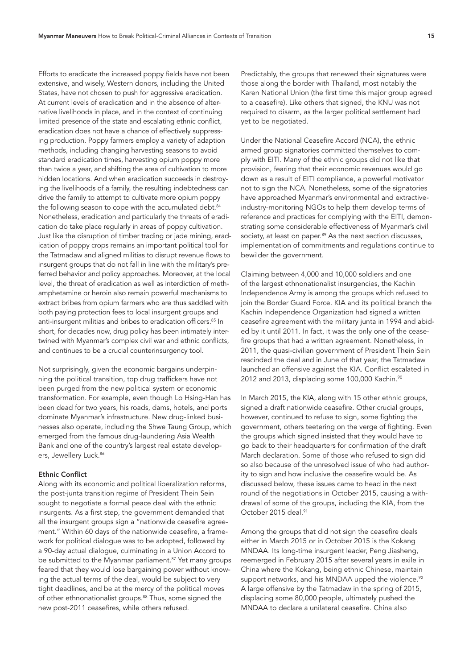Efforts to eradicate the increased poppy fields have not been extensive, and wisely, Western donors, including the United States, have not chosen to push for aggressive eradication. At current levels of eradication and in the absence of alternative livelihoods in place, and in the context of continuing limited presence of the state and escalating ethnic conflict, eradication does not have a chance of effectively suppressing production. Poppy farmers employ a variety of adaption methods, including changing harvesting seasons to avoid standard eradication times, harvesting opium poppy more than twice a year, and shifting the area of cultivation to more hidden locations. And when eradication succeeds in destroying the livelihoods of a family, the resulting indebtedness can drive the family to attempt to cultivate more opium poppy the following season to cope with the accumulated debt.<sup>84</sup> Nonetheless, eradication and particularly the threats of eradication do take place regularly in areas of poppy cultivation. Just like the disruption of timber trading or jade mining, eradication of poppy crops remains an important political tool for the Tatmadaw and aligned militias to disrupt revenue flows to insurgent groups that do not fall in line with the military's preferred behavior and policy approaches. Moreover, at the local level, the threat of eradication as well as interdiction of methamphetamine or heroin also remain powerful mechanisms to extract bribes from opium farmers who are thus saddled with both paying protection fees to local insurgent groups and anti-insurgent militias and bribes to eradication officers.<sup>85</sup> In short, for decades now, drug policy has been intimately intertwined with Myanmar's complex civil war and ethnic conflicts, and continues to be a crucial counterinsurgency tool.

Not surprisingly, given the economic bargains underpinning the political transition, top drug traffickers have not been purged from the new political system or economic transformation. For example, even though Lo Hsing-Han has been dead for two years, his roads, dams, hotels, and ports dominate Myanmar's infrastructure. New drug-linked businesses also operate, including the Shwe Taung Group, which emerged from the famous drug-laundering Asia Wealth Bank and one of the country's largest real estate develop-ers, Jewellery Luck.<sup>[86](#page-32-11)</sup>

#### Ethnic Conflict

Along with its economic and political liberalization reforms, the post-junta transition regime of President Thein Sein sought to negotiate a formal peace deal with the ethnic insurgents. As a first step, the government demanded that all the insurgent groups sign a "nationwide ceasefire agreement." Within 60 days of the nationwide ceasefire, a framework for political dialogue was to be adopted, followed by a 90-day actual dialogue, culminating in a Union Accord to be submitted to the Myanmar parliament.<sup>87</sup> Yet many groups feared that they would lose bargaining power without knowing the actual terms of the deal, would be subject to very tight deadlines, and be at the mercy of the political moves of other ethnonationalist groups.<sup>88</sup> Thus, some signed the new post-2011 ceasefires, while others refused.

Predictably, the groups that renewed their signatures were those along the border with Thailand, most notably the Karen National Union (the first time this major group agreed to a ceasefire). Like others that signed, the KNU was not required to disarm, as the larger political settlement had yet to be negotiated.

Under the National Ceasefire Accord (NCA), the ethnic armed group signatories committed themselves to comply with EITI. Many of the ethnic groups did not like that provision, fearing that their economic revenues would go down as a result of EITI compliance, a powerful motivator not to sign the NCA. Nonetheless, some of the signatories have approached Myanmar's environmental and extractiveindustry-monitoring NGOs to help them develop terms of reference and practices for complying with the EITI, demonstrating some considerable effectiveness of Myanmar's civil society, at least on paper.<sup>89</sup> As the next section discusses, implementation of commitments and regulations continue to bewilder the government.

Claiming between 4,000 and 10,000 soldiers and one of the largest ethnonationalist insurgencies, the Kachin Independence Army is among the groups which refused to join the Border Guard Force. KIA and its political branch the Kachin Independence Organization had signed a written ceasefire agreement with the military junta in 1994 and abided by it until 2011. In fact, it was the only one of the ceasefire groups that had a written agreement. Nonetheless, in 2011, the quasi-civilian government of President Thein Sein rescinded the deal and in June of that year, the Tatmadaw launched an offensive against the KIA. Conflict escalated in 2012 and 2013, displacing some 100,000 Kachin.<sup>[90](#page-32-15)</sup>

In March 2015, the KIA, along with 15 other ethnic groups, signed a draft nationwide ceasefire. Other crucial groups, however, continued to refuse to sign, some fighting the government, others teetering on the verge of fighting. Even the groups which signed insisted that they would have to go back to their headquarters for confirmation of the draft March declaration. Some of those who refused to sign did so also because of the unresolved issue of who had authority to sign and how inclusive the ceasefire would be. As discussed below, these issues came to head in the next round of the negotiations in October 2015, causing a withdrawal of some of the groups, including the KIA, from the October 2015 deal.<sup>[91](#page-32-16)</sup>

Among the groups that did not sign the ceasefire deals either in March 2015 or in October 2015 is the Kokang MNDAA. Its long-time insurgent leader, Peng Jiasheng, reemerged in February 2015 after several years in exile in China where the Kokang, being ethnic Chinese, maintain support networks, and his MNDAA upped the violence.<sup>[92](#page-32-17)</sup> A large offensive by the Tatmadaw in the spring of 2015, displacing some 80,000 people, ultimately pushed the MNDAA to declare a unilateral ceasefire. China also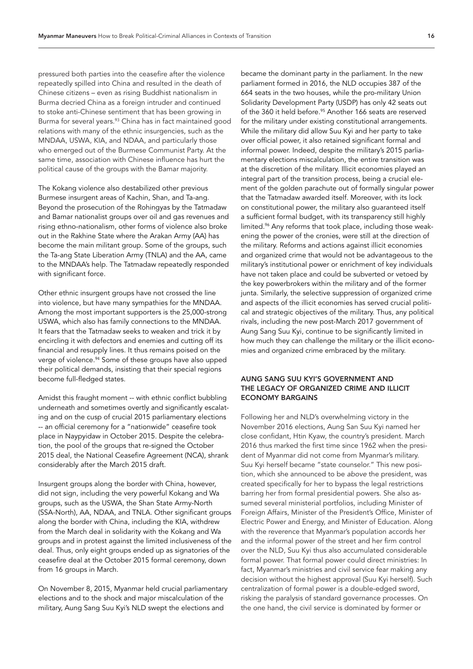pressured both parties into the ceasefire after the violence repeatedly spilled into China and resulted in the death of Chinese citizens – even as rising Buddhist nationalism in Burma decried China as a foreign intruder and continued to stoke anti-Chinese sentiment that has been growing in Burma for several years.<sup>[93](#page-32-18)</sup> China has in fact maintained good relations with many of the ethnic insurgencies, such as the MNDAA, USWA, KIA, and NDAA, and particularly those who emerged out of the Burmese Communist Party. At the same time, association with Chinese influence has hurt the political cause of the groups with the Bamar majority.

The Kokang violence also destabilized other previous Burmese insurgent areas of Kachin, Shan, and Ta-ang. Beyond the prosecution of the Rohingyas by the Tatmadaw and Bamar nationalist groups over oil and gas revenues and rising ethno-nationalism, other forms of violence also broke out in the Rakhine State where the Arakan Army (AA) has become the main militant group. Some of the groups, such the Ta-ang State Liberation Army (TNLA) and the AA, came to the MNDAA's help. The Tatmadaw repeatedly responded with significant force.

Other ethnic insurgent groups have not crossed the line into violence, but have many sympathies for the MNDAA. Among the most important supporters is the 25,000-strong USWA, which also has family connections to the MNDAA. It fears that the Tatmadaw seeks to weaken and trick it by encircling it with defectors and enemies and cutting off its financial and resupply lines. It thus remains poised on the verge of violence.<sup>94</sup> Some of these groups have also upped their political demands, insisting that their special regions become full-fledged states.

Amidst this fraught moment -- with ethnic conflict bubbling underneath and sometimes overtly and significantly escalating and on the cusp of crucial 2015 parliamentary elections -- an official ceremony for a "nationwide" ceasefire took place in Naypyidaw in October 2015. Despite the celebration, the pool of the groups that re-signed the October 2015 deal, the National Ceasefire Agreement (NCA), shrank considerably after the March 2015 draft.

Insurgent groups along the border with China, however, did not sign, including the very powerful Kokang and Wa groups, such as the USWA, the Shan State Army-North (SSA-North), AA, NDAA, and TNLA. Other significant groups along the border with China, including the KIA, withdrew from the March deal in solidarity with the Kokang and Wa groups and in protest against the limited inclusiveness of the deal. Thus, only eight groups ended up as signatories of the ceasefire deal at the October 2015 formal ceremony, down from 16 groups in March.

On November 8, 2015, Myanmar held crucial parliamentary elections and to the shock and major miscalculation of the military, Aung Sang Suu Kyi's NLD swept the elections and

became the dominant party in the parliament. In the new parliament formed in 2016, the NLD occupies 387 of the 664 seats in the two houses, while the pro-military Union Solidarity Development Party (USDP) has only 42 seats out of the 360 it held before.<sup>95</sup> Another 166 seats are reserved for the military under existing constitutional arrangements. While the military did allow Suu Kyi and her party to take over official power, it also retained significant formal and informal power. Indeed, despite the military's 2015 parliamentary elections miscalculation, the entire transition was at the discretion of the military. Illicit economies played an integral part of the transition process, being a crucial element of the golden parachute out of formally singular power that the Tatmadaw awarded itself. Moreover, with its lock on constitutional power, the military also guaranteed itself a sufficient formal budget, with its transparency still highly limited.<sup>96</sup> Any reforms that took place, including those weakening the power of the cronies, were still at the direction of the military. Reforms and actions against illicit economies and organized crime that would not be advantageous to the military's institutional power or enrichment of key individuals have not taken place and could be subverted or vetoed by the key powerbrokers within the military and of the former junta. Similarly, the selective suppression of organized crime and aspects of the illicit economies has served crucial political and strategic objectives of the military. Thus, any political rivals, including the new post-March 2017 government of Aung Sang Suu Kyi, continue to be significantly limited in how much they can challenge the military or the illicit economies and organized crime embraced by the military.

# AUNG SANG SUU KYI'S GOVERNMENT AND THE LEGACY OF ORGANIZED CRIME AND ILLICIT ECONOMY BARGAINS

Following her and NLD's overwhelming victory in the November 2016 elections, Aung San Suu Kyi named her close confidant, Htin Kyaw, the country's president. March 2016 thus marked the first time since 1962 when the president of Myanmar did not come from Myanmar's military. Suu Kyi herself became "state counselor." This new position, which she announced to be *above* the president, was created specifically for her to bypass the legal restrictions barring her from formal presidential powers. She also assumed several ministerial portfolios, including Minister of Foreign Affairs, Minister of the President's Office, Minister of Electric Power and Energy, and Minister of Education. Along with the reverence that Myanmar's population accords her and the informal power of the street and her firm control over the NLD, Suu Kyi thus also accumulated considerable formal power. That formal power could direct ministries: In fact, Myanmar's ministries and civil service fear making any decision without the highest approval (Suu Kyi herself). Such centralization of formal power is a double-edged sword, risking the paralysis of standard governance processes. On the one hand, the civil service is dominated by former or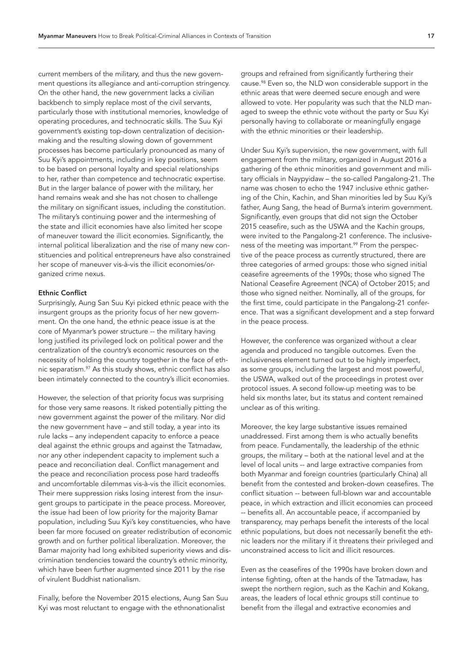current members of the military, and thus the new government questions its allegiance and anti-corruption stringency. On the other hand, the new government lacks a civilian backbench to simply replace most of the civil servants, particularly those with institutional memories, knowledge of operating procedures, and technocratic skills. The Suu Kyi government's existing top-down centralization of decisionmaking and the resulting slowing down of government processes has become particularly pronounced as many of Suu Kyi's appointments, including in key positions, seem to be based on personal loyalty and special relationships to her, rather than competence and technocratic expertise. But in the larger balance of power with the military, her hand remains weak and she has not chosen to challenge the military on significant issues, including the constitution. The military's continuing power and the intermeshing of the state and illicit economies have also limited her scope of maneuver toward the illicit economies. Significantly, the internal political liberalization and the rise of many new constituencies and political entrepreneurs have also constrained her scope of maneuver vis-à-vis the illicit economies/organized crime nexus.

# Ethnic Conflict

Surprisingly, Aung San Suu Kyi picked ethnic peace with the insurgent groups as the priority focus of her new government. On the one hand, the ethnic peace issue is at the core of Myanmar's power structure -- the military having long justified its privileged lock on political power and the centralization of the country's economic resources on the necessity of holding the country together in the face of ethnic separatism[.97](#page-32-22) As this study shows, ethnic conflict has also been intimately connected to the country's illicit economies.

However, the selection of that priority focus was surprising for those very same reasons. It risked potentially pitting the new government against the power of the military. Nor did the new government have – and still today, a year into its rule lacks – any independent capacity to enforce a peace deal against the ethnic groups and against the Tatmadaw, nor any other independent capacity to implement such a peace and reconciliation deal. Conflict management and the peace and reconciliation process pose hard tradeoffs and uncomfortable dilemmas vis-à-vis the illicit economies. Their mere suppression risks losing interest from the insurgent groups to participate in the peace process. Moreover, the issue had been of low priority for the majority Bamar population, including Suu Kyi's key constituencies, who have been far more focused on greater redistribution of economic growth and on further political liberalization. Moreover, the Bamar majority had long exhibited superiority views and discrimination tendencies toward the country's ethnic minority, which have been further augmented since 2011 by the rise of virulent Buddhist nationalism.

Finally, before the November 2015 elections, Aung San Suu Kyi was most reluctant to engage with the ethnonationalist

groups and refrained from significantly furthering their cause.[98](#page-32-23) Even so, the NLD won considerable support in the ethnic areas that were deemed secure enough and were allowed to vote. Her popularity was such that the NLD managed to sweep the ethnic vote without the party or Suu Kyi personally having to collaborate or meaningfully engage with the ethnic minorities or their leadership.

Under Suu Kyi's supervision, the new government, with full engagement from the military, organized in August 2016 a gathering of the ethnic minorities and government and military officials in Naypyidaw – the so-called Pangalong-21. The name was chosen to echo the 1947 inclusive ethnic gathering of the Chin, Kachin, and Shan minorities led by Suu Kyi's father, Aung Sang, the head of Burma's interim government. Significantly, even groups that did not sign the October 2015 ceasefire, such as the USWA and the Kachin groups, were invited to the Pangalong-21 conference. The inclusive-ness of the meeting was important.<sup>[99](#page-32-24)</sup> From the perspective of the peace process as currently structured, there are three categories of armed groups: those who signed initial ceasefire agreements of the 1990s; those who signed The National Ceasefire Agreement (NCA) of October 2015; and those who signed neither. Nominally, all of the groups, for the first time, could participate in the Pangalong-21 conference. That was a significant development and a step forward in the peace process.

However, the conference was organized without a clear agenda and produced no tangible outcomes. Even the inclusiveness element turned out to be highly imperfect, as some groups, including the largest and most powerful, the USWA, walked out of the proceedings in protest over protocol issues. A second follow-up meeting was to be held six months later, but its status and content remained unclear as of this writing.

Moreover, the key large substantive issues remained unaddressed. First among them is who actually benefits from peace. Fundamentally, the leadership of the ethnic groups, the military – both at the national level and at the level of local units -- and large extractive companies from both Myanmar and foreign countries (particularly China) all benefit from the contested and broken-down ceasefires. The conflict situation -- between full-blown war and accountable peace, in which extraction and illicit economies can proceed -- benefits all. An accountable peace, if accompanied by transparency, may perhaps benefit the interests of the local ethnic populations, but does not necessarily benefit the ethnic leaders nor the military if it threatens their privileged and unconstrained access to licit and illicit resources.

Even as the ceasefires of the 1990s have broken down and intense fighting, often at the hands of the Tatmadaw, has swept the northern region, such as the Kachin and Kokang, areas, the leaders of local ethnic groups still continue to benefit from the illegal and extractive economies and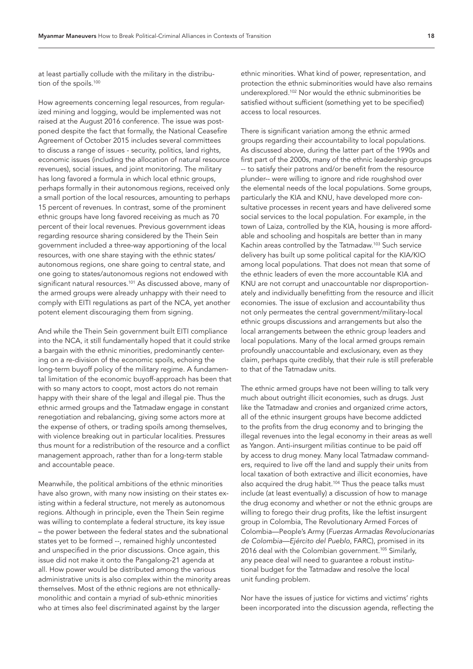at least partially collude with the military in the distribu-tion of the spoils.<sup>[100](#page-33-0)</sup>

How agreements concerning legal resources, from regularized mining and logging, would be implemented was not raised at the August 2016 conference. The issue was postponed despite the fact that formally, the National Ceasefire Agreement of October 2015 includes several committees to discuss a range of issues - security, politics, land rights, economic issues (including the allocation of natural resource revenues), social issues, and joint monitoring. The military has long favored a formula in which local ethnic groups, perhaps formally in their autonomous regions, received only a small portion of the local resources, amounting to perhaps 15 percent of revenues. In contrast, some of the prominent ethnic groups have long favored receiving as much as 70 percent of their local revenues. Previous government ideas regarding resource sharing considered by the Thein Sein government included a three-way apportioning of the local resources, with one share staying with the ethnic states/ autonomous regions, one share going to central state, and one going to states/autonomous regions not endowed with significant natural resources.<sup>[101](#page-33-1)</sup> As discussed above, many of the armed groups were already unhappy with their need to comply with EITI regulations as part of the NCA, yet another potent element discouraging them from signing.

And while the Thein Sein government built EITI compliance into the NCA, it still fundamentally hoped that it could strike a bargain with the ethnic minorities, predominantly centering on a re-division of the economic spoils, echoing the long-term buyoff policy of the military regime. A fundamental limitation of the economic buyoff-approach has been that with so many actors to coopt, most actors do not remain happy with their share of the legal and illegal pie. Thus the ethnic armed groups and the Tatmadaw engage in constant renegotiation and rebalancing, giving some actors more at the expense of others, or trading spoils among themselves, with violence breaking out in particular localities. Pressures thus mount for a redistribution of the resource and a conflict management approach, rather than for a long-term stable and accountable peace.

Meanwhile, the political ambitions of the ethnic minorities have also grown, with many now insisting on their states existing within a federal structure, not merely as autonomous regions. Although in principle, even the Thein Sein regime was willing to contemplate a federal structure, its key issue – the power between the federal states and the subnational states yet to be formed --, remained highly uncontested and unspecified in the prior discussions. Once again, this issue did not make it onto the Pangalong-21 agenda at all. How power would be distributed among the various administrative units is also complex within the minority areas themselves. Most of the ethnic regions are not ethnicallymonolithic and contain a myriad of sub-ethnic minorities who at times also feel discriminated against by the larger

ethnic minorities. What kind of power, representation, and protection the ethnic subminorities would have also remains underexplored.[102](#page-33-2) Nor would the ethnic subminorities be satisfied without sufficient (something yet to be specified) access to local resources.

There is significant variation among the ethnic armed groups regarding their accountability to local populations. As discussed above, during the latter part of the 1990s and first part of the 2000s, many of the ethnic leadership groups -- to satisfy their patrons and/or benefit from the resource plunder-- were willing to ignore and ride roughshod over the elemental needs of the local populations. Some groups, particularly the KIA and KNU, have developed more consultative processes in recent years and have delivered some social services to the local population. For example, in the town of Laiza, controlled by the KIA, housing is more affordable and schooling and hospitals are better than in many Kachin areas controlled by the Tatmadaw.<sup>103</sup> Such service delivery has built up some political capital for the KIA/KIO among local populations. That does not mean that some of the ethnic leaders of even the more accountable KIA and KNU are not corrupt and unaccountable nor disproportionately and individually benefitting from the resource and illicit economies. The issue of exclusion and accountability thus not only permeates the central government/military-local ethnic groups discussions and arrangements but also the local arrangements between the ethnic group leaders and local populations. Many of the local armed groups remain profoundly unaccountable and exclusionary, even as they claim, perhaps quite credibly, that their rule is still preferable to that of the Tatmadaw units.

The ethnic armed groups have not been willing to talk very much about outright illicit economies, such as drugs. Just like the Tatmadaw and cronies and organized crime actors, all of the ethnic insurgent groups have become addicted to the profits from the drug economy and to bringing the illegal revenues into the legal economy in their areas as well as Yangon. Anti-insurgent militias continue to be paid off by access to drug money. Many local Tatmadaw commanders, required to live off the land and supply their units from local taxation of both extractive and illicit economies, have also acquired the drug habit.<sup>104</sup> Thus the peace talks must include (at least eventually) a discussion of how to manage the drug economy and whether or not the ethnic groups are willing to forego their drug profits, like the leftist insurgent group in Colombia, The Revolutionary Armed Forces of Colombia—People's Army (*Fuerzas Armadas Revolucionarias de Colombia—Ejército del Pueblo*, FARC), promised in its 2016 deal with the Colombian government.<sup>105</sup> Similarly, any peace deal will need to guarantee a robust institutional budget for the Tatmadaw and resolve the local unit funding problem.

Nor have the issues of justice for victims and victims' rights been incorporated into the discussion agenda, reflecting the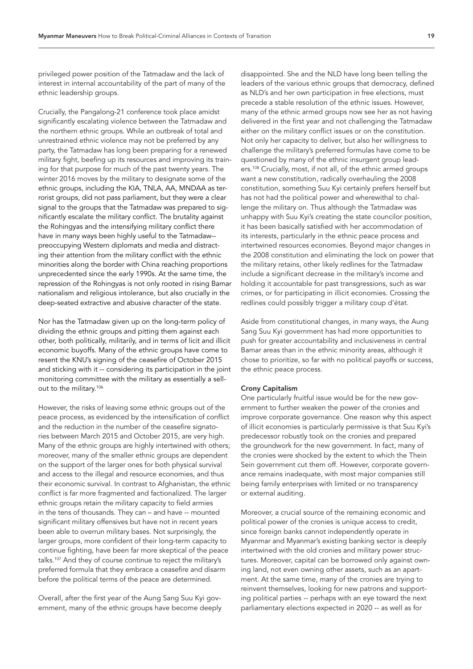privileged power position of the Tatmadaw and the lack of interest in internal accountability of the part of many of the ethnic leadership groups.

Crucially, the Pangalong-21 conference took place amidst significantly escalating violence between the Tatmadaw and the northern ethnic groups. While an outbreak of total and unrestrained ethnic violence may not be preferred by any party, the Tatmadaw has long been preparing for a renewed military fight, beefing up its resources and improving its training for that purpose for much of the past twenty years. The winter 2016 moves by the military to designate some of the ethnic groups, including the KIA, TNLA, AA, MNDAA as terrorist groups, did not pass parliament, but they were a clear signal to the groups that the Tatmadaw was prepared to significantly escalate the military conflict. The brutality against the Rohingyas and the intensifying military conflict there have in many ways been highly useful to the Tatmadaw- preoccupying Western diplomats and media and distracting their attention from the military conflict with the ethnic minorities along the border with China reaching proportions unprecedented since the early 1990s. At the same time, the repression of the Rohingyas is not only rooted in rising Bamar nationalism and religious intolerance, but also crucially in the deep-seated extractive and abusive character of the state.

Nor has the Tatmadaw given up on the long-term policy of dividing the ethnic groups and pitting them against each other, both politically, militarily, and in terms of licit and illicit economic buyoffs. Many of the ethnic groups have come to resent the KNU's signing of the ceasefire of October 2015 and sticking with it -- considering its participation in the joint monitoring committee with the military as essentially a sellout to the military[.106](#page-33-6)

However, the risks of leaving some ethnic groups out of the peace process, as evidenced by the intensification of conflict and the reduction in the number of the ceasefire signatories between March 2015 and October 2015, are very high. Many of the ethnic groups are highly intertwined with others; moreover, many of the smaller ethnic groups are dependent on the support of the larger ones for both physical survival and access to the illegal and resource economies, and thus their economic survival. In contrast to Afghanistan, the ethnic conflict is far more fragmented and factionalized. The larger ethnic groups retain the military capacity to field armies in the tens of thousands. They can – and have -- mounted significant military offensives but have not in recent years been able to overrun military bases. Not surprisingly, the larger groups, more confident of their long-term capacity to continue fighting, have been far more skeptical of the peace talks[.107](#page-33-7) And they of course continue to reject the military's preferred formula that they embrace a ceasefire and disarm before the political terms of the peace are determined.

Overall, after the first year of the Aung Sang Suu Kyi government, many of the ethnic groups have become deeply

disappointed. She and the NLD have long been telling the leaders of the various ethnic groups that democracy, defined as NLD's and her own participation in free elections, must precede a stable resolution of the ethnic issues. However, many of the ethnic armed groups now see her as not having delivered in the first year and not challenging the Tatmadaw either on the military conflict issues or on the constitution. Not only her capacity to deliver, but also her willingness to challenge the military's preferred formulas have come to be questioned by many of the ethnic insurgent group lead-ers.<sup>[108](#page-33-8)</sup> Crucially, most, if not all, of the ethnic armed groups want a new constitution, radically overhauling the 2008 constitution, something Suu Kyi certainly prefers herself but has not had the political power and wherewithal to challenge the military on. Thus although the Tatmadaw was unhappy with Suu Kyi's creating the state councilor position, it has been basically satisfied with her accommodation of its interests, particularly in the ethnic peace process and intertwined resources economies. Beyond major changes in the 2008 constitution and eliminating the lock on power that the military retains, other likely redlines for the Tatmadaw include a significant decrease in the military's income and holding it accountable for past transgressions, such as war crimes, or for participating in illicit economies. Crossing the redlines could possibly trigger a military coup d'état.

Aside from constitutional changes, in many ways, the Aung Sang Suu Kyi government has had more opportunities to push for greater accountability and inclusiveness in central Bamar areas than in the ethnic minority areas, although it chose to prioritize, so far with no political payoffs or success, the ethnic peace process.

# Crony Capitalism

One particularly fruitful issue would be for the new government to further weaken the power of the cronies and improve corporate governance. One reason why this aspect of illicit economies is particularly permissive is that Suu Kyi's predecessor robustly took on the cronies and prepared the groundwork for the new government. In fact, many of the cronies were shocked by the extent to which the Thein Sein government cut them off. However, corporate governance remains inadequate, with most major companies still being family enterprises with limited or no transparency or external auditing.

Moreover, a crucial source of the remaining economic and political power of the cronies is unique access to credit, since foreign banks cannot independently operate in Myanmar and Myanmar's existing banking sector is deeply intertwined with the old cronies and military power structures. Moreover, capital can be borrowed only against owning land, not even owning other assets, such as an apartment. At the same time, many of the cronies are trying to reinvent themselves, looking for new patrons and supporting political parties -- perhaps with an eye toward the next parliamentary elections expected in 2020 -- as well as for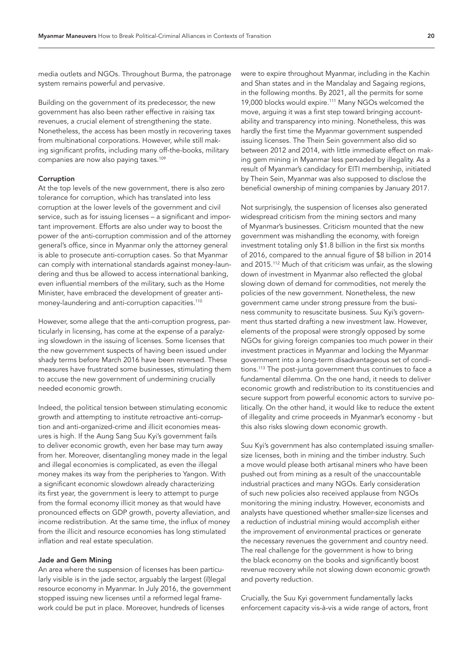media outlets and NGOs. Throughout Burma, the patronage system remains powerful and pervasive.

Building on the government of its predecessor, the new government has also been rather effective in raising tax revenues, a crucial element of strengthening the state. Nonetheless, the access has been mostly in recovering taxes from multinational corporations. However, while still making significant profits, including many off-the-books, military companies are now also paying taxes[.109](#page-33-9)

## Corruption

At the top levels of the new government, there is also zero tolerance for corruption, which has translated into less corruption at the lower levels of the government and civil service, such as for issuing licenses – a significant and important improvement. Efforts are also under way to boost the power of the anti-corruption commission and of the attorney general's office, since in Myanmar only the attorney general is able to prosecute anti-corruption cases. So that Myanmar can comply with international standards against money-laundering and thus be allowed to access international banking, even influential members of the military, such as the Home Minister, have embraced the development of greater antimoney-laundering and anti-corruption capacities.[110](#page-33-10)

However, some allege that the anti-corruption progress, particularly in licensing, has come at the expense of a paralyzing slowdown in the issuing of licenses. Some licenses that the new government suspects of having been issued under shady terms before March 2016 have been reversed. These measures have frustrated some businesses, stimulating them to accuse the new government of undermining crucially needed economic growth.

Indeed, the political tension between stimulating economic growth and attempting to institute retroactive anti-corruption and anti-organized-crime and illicit economies measures is high. If the Aung Sang Suu Kyi's government fails to deliver economic growth, even her base may turn away from her. Moreover, disentangling money made in the legal and illegal economies is complicated, as even the illegal money makes its way from the peripheries to Yangon. With a significant economic slowdown already characterizing its first year, the government is leery to attempt to purge from the formal economy illicit money as that would have pronounced effects on GDP growth, poverty alleviation, and income redistribution. At the same time, the influx of money from the illicit and resource economies has long stimulated inflation and real estate speculation.

## Jade and Gem Mining

An area where the suspension of licenses has been particularly visible is in the jade sector, arguably the largest (il)legal resource economy in Myanmar. In July 2016, the government stopped issuing new licenses until a reformed legal framework could be put in place. Moreover, hundreds of licenses

were to expire throughout Myanmar, including in the Kachin and Shan states and in the Mandalay and Sagaing regions, in the following months. By 2021, all the permits for some 19,000 blocks would expire[.111](#page-33-11) Many NGOs welcomed the move, arguing it was a first step toward bringing accountability and transparency into mining. Nonetheless, this was hardly the first time the Myanmar government suspended issuing licenses. The Thein Sein government also did so between 2012 and 2014, with little immediate effect on making gem mining in Myanmar less pervaded by illegality. As a result of Myanmar's candidacy for EITI membership, initiated by Thein Sein, Myanmar was also supposed to disclose the beneficial ownership of mining companies by January 2017.

Not surprisingly, the suspension of licenses also generated widespread criticism from the mining sectors and many of Myanmar's businesses. Criticism mounted that the new government was mishandling the economy, with foreign investment totaling only \$1.8 billion in the first six months of 2016, compared to the annual figure of \$8 billion in 2014 and 2015.<sup>[112](#page-33-12)</sup> Much of that criticism was unfair, as the slowing down of investment in Myanmar also reflected the global slowing down of demand for commodities, not merely the policies of the new government. Nonetheless, the new government came under strong pressure from the business community to resuscitate business. Suu Kyi's government thus started drafting a new investment law. However, elements of the proposal were strongly opposed by some NGOs for giving foreign companies too much power in their investment practices in Myanmar and locking the Myanmar government into a long-term disadvantageous set of conditions[.113](#page-33-13) The post-junta government thus continues to face a fundamental dilemma. On the one hand, it needs to deliver economic growth and redistribution to its constituencies and secure support from powerful economic actors to survive politically. On the other hand, it would like to reduce the extent of illegality and crime proceeds in Myanmar's economy - but this also risks slowing down economic growth.

Suu Kyi's government has also contemplated issuing smallersize licenses, both in mining and the timber industry. Such a move would please both artisanal miners who have been pushed out from mining as a result of the unaccountable industrial practices and many NGOs. Early consideration of such new policies also received applause from NGOs monitoring the mining industry. However, economists and analysts have questioned whether smaller-size licenses and a reduction of industrial mining would accomplish either the improvement of environmental practices or generate the necessary revenues the government and country need. The real challenge for the government is how to bring the black economy on the books and significantly boost revenue recovery while not slowing down economic growth and poverty reduction.

Crucially, the Suu Kyi government fundamentally lacks enforcement capacity vis-à-vis a wide range of actors, front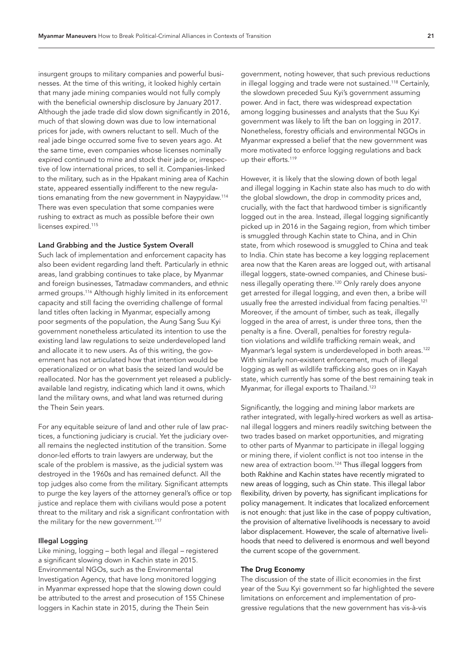insurgent groups to military companies and powerful businesses. At the time of this writing, it looked highly certain that many jade mining companies would not fully comply with the beneficial ownership disclosure by January 2017. Although the jade trade did slow down significantly in 2016, much of that slowing down was due to low international prices for jade, with owners reluctant to sell. Much of the real jade binge occurred some five to seven years ago. At the same time, even companies whose licenses nominally expired continued to mine and stock their jade or, irrespective of low international prices, to sell it. Companies-linked to the military, such as in the Hpakant mining area of Kachin state, appeared essentially indifferent to the new regulations emanating from the new government in Naypyidaw.[114](#page-33-14) There was even speculation that some companies were rushing to extract as much as possible before their own licenses expired.<sup>[115](#page-33-15)</sup>

#### Land Grabbing and the Justice System Overall

Such lack of implementation and enforcement capacity has also been evident regarding land theft. Particularly in ethnic areas, land grabbing continues to take place, by Myanmar and foreign businesses, Tatmadaw commanders, and ethnic armed groups.<sup>116</sup> Although highly limited in its enforcement capacity and still facing the overriding challenge of formal land titles often lacking in Myanmar, especially among poor segments of the population, the Aung Sang Suu Kyi government nonetheless articulated its intention to use the existing land law regulations to seize underdeveloped land and allocate it to new users. As of this writing, the government has not articulated how that intention would be operationalized or on what basis the seized land would be reallocated. Nor has the government yet released a publiclyavailable land registry, indicating which land it owns, which land the military owns, and what land was returned during the Thein Sein years.

For any equitable seizure of land and other rule of law practices, a functioning judiciary is crucial. Yet the judiciary overall remains the neglected institution of the transition. Some donor-led efforts to train lawyers are underway, but the scale of the problem is massive, as the judicial system was destroyed in the 1960s and has remained defunct. All the top judges also come from the military. Significant attempts to purge the key layers of the attorney general's office or top justice and replace them with civilians would pose a potent threat to the military and risk a significant confrontation with the military for the new government.<sup>[117](#page-33-17)</sup>

#### Illegal Logging

Like mining, logging – both legal and illegal – registered a significant slowing down in Kachin state in 2015. Environmental NGOs, such as the Environmental Investigation Agency, that have long monitored logging in Myanmar expressed hope that the slowing down could be attributed to the arrest and prosecution of 155 Chinese loggers in Kachin state in 2015, during the Thein Sein

government, noting however, that such previous reductions in illegal logging and trade were not sustained[.118](#page-33-18) Certainly, the slowdown preceded Suu Kyi's government assuming power. And in fact, there was widespread expectation among logging businesses and analysts that the Suu Kyi government was likely to lift the ban on logging in 2017. Nonetheless, forestry officials and environmental NGOs in Myanmar expressed a belief that the new government was more motivated to enforce logging regulations and back up their efforts.<sup>[119](#page-33-19)</sup>

However, it is likely that the slowing down of both legal and illegal logging in Kachin state also has much to do with the global slowdown, the drop in commodity prices and, crucially, with the fact that hardwood timber is significantly logged out in the area. Instead, illegal logging significantly picked up in 2016 in the Sagaing region, from which timber is smuggled through Kachin state to China, and in Chin state, from which rosewood is smuggled to China and teak to India. Chin state has become a key logging replacement area now that the Karen areas are logged out, with artisanal illegal loggers, state-owned companies, and Chinese business illegally operating there[.120](#page-33-20) Only rarely does anyone get arrested for illegal logging, and even then, a bribe will usually free the arrested individual from facing penalties.<sup>[121](#page-33-21)</sup> Moreover, if the amount of timber, such as teak, illegally logged in the area of arrest, is under three tons, then the penalty is a fine. Overall, penalties for forestry regulation violations and wildlife trafficking remain weak, and Myanmar's legal system is underdeveloped in both areas.<sup>[122](#page-33-22)</sup> With similarly non-existent enforcement, much of illegal logging as well as wildlife trafficking also goes on in Kayah state, which currently has some of the best remaining teak in Myanmar, for illegal exports to Thailand.<sup>[123](#page-34-0)</sup>

Significantly, the logging and mining labor markets are rather integrated, with legally-hired workers as well as artisanal illegal loggers and miners readily switching between the two trades based on market opportunities, and migrating to other parts of Myanmar to participate in illegal logging or mining there, if violent conflict is not too intense in the new area of extraction boom[.124](#page-34-1) Thus illegal loggers from both Rakhine and Kachin states have recently migrated to new areas of logging, such as Chin state. This illegal labor flexibility, driven by poverty, has significant implications for policy management. It indicates that localized enforcement is not enough: that just like in the case of poppy cultivation, the provision of alternative livelihoods is necessary to avoid labor displacement. However, the scale of alternative livelihoods that need to delivered is enormous and well beyond the current scope of the government.

### The Drug Economy

The discussion of the state of illicit economies in the first year of the Suu Kyi government so far highlighted the severe limitations on enforcement and implementation of progressive regulations that the new government has vis-à-vis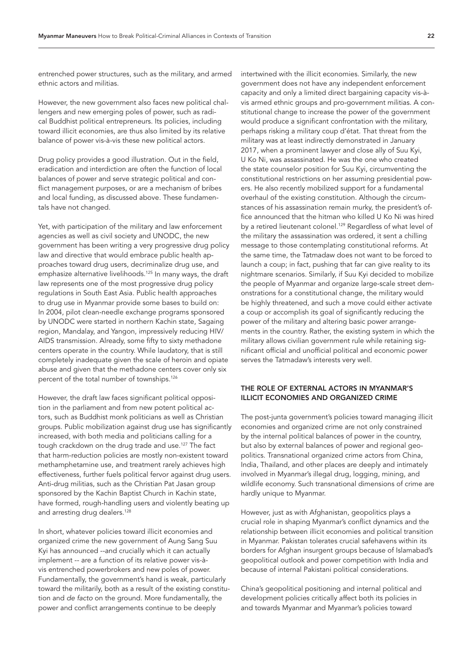entrenched power structures, such as the military, and armed ethnic actors and militias.

However, the new government also faces new political challengers and new emerging poles of power, such as radical Buddhist political entrepreneurs. Its policies, including toward illicit economies, are thus also limited by its relative balance of power vis-à-vis these new political actors.

Drug policy provides a good illustration. Out in the field, eradication and interdiction are often the function of local balances of power and serve strategic political and conflict management purposes, or are a mechanism of bribes and local funding, as discussed above. These fundamentals have not changed.

Yet, with participation of the military and law enforcement agencies as well as civil society and UNODC, the new government has been writing a very progressive drug policy law and directive that would embrace public health approaches toward drug users, decriminalize drug use, and emphasize alternative livelihoods.<sup>[125](#page-34-2)</sup> In many ways, the draft law represents one of the most progressive drug policy regulations in South East Asia. Public health approaches to drug use in Myanmar provide some bases to build on: In 2004, pilot clean-needle exchange programs sponsored by UNODC were started in northern Kachin state, Sagaing region, Mandalay, and Yangon, impressively reducing HIV/ AIDS transmission. Already, some fifty to sixty methadone centers operate in the country. While laudatory, that is still completely inadequate given the scale of heroin and opiate abuse and given that the methadone centers cover only six percent of the total number of townships.[126](#page-34-3)

However, the draft law faces significant political opposition in the parliament and from new potent political actors, such as Buddhist monk politicians as well as Christian groups. Public mobilization against drug use has significantly increased, with both media and politicians calling for a tough crackdown on the drug trade and use.<sup>[127](#page-34-4)</sup> The fact that harm-reduction policies are mostly non-existent toward methamphetamine use, and treatment rarely achieves high effectiveness, further fuels political fervor against drug users. Anti-drug militias, such as the Christian Pat Jasan group sponsored by the Kachin Baptist Church in Kachin state, have formed, rough-handling users and violently beating up and arresting drug dealers.<sup>128</sup>

In short, whatever policies toward illicit economies and organized crime the new government of Aung Sang Suu Kyi has announced --and crucially which it can actually implement -- are a function of its relative power vis-àvis entrenched powerbrokers and new poles of power. Fundamentally, the government's hand is weak, particularly toward the militarily, both as a result of the existing constitution and *de facto* on the ground. More fundamentally, the power and conflict arrangements continue to be deeply

intertwined with the illicit economies. Similarly, the new government does not have any independent enforcement capacity and only a limited direct bargaining capacity vis-àvis armed ethnic groups and pro-government militias. A constitutional change to increase the power of the government would produce a significant confrontation with the military, perhaps risking a military coup d'état. That threat from the military was at least indirectly demonstrated in January 2017, when a prominent lawyer and close ally of Suu Kyi, U Ko Ni, was assassinated. He was the one who created the state counselor position for Suu Kyi, circumventing the constitutional restrictions on her assuming presidential powers. He also recently mobilized support for a fundamental overhaul of the existing constitution. Although the circumstances of his assassination remain murky, the president's office announced that the hitman who killed U Ko Ni was hired by a retired lieutenant colonel.<sup>129</sup> Regardless of what level of the military the assassination was ordered, it sent a chilling message to those contemplating constitutional reforms. At the same time, the Tatmadaw does not want to be forced to launch a coup; in fact, pushing that far can give reality to its nightmare scenarios. Similarly, if Suu Kyi decided to mobilize the people of Myanmar and organize large-scale street demonstrations for a constitutional change, the military would be highly threatened, and such a move could either activate a coup or accomplish its goal of significantly reducing the power of the military and altering basic power arrangements in the country. Rather, the existing system in which the military allows civilian government rule while retaining significant official and unofficial political and economic power serves the Tatmadaw's interests very well.

# THE ROLE OF EXTERNAL ACTORS IN MYANMAR'S ILLICIT ECONOMIES AND ORGANIZED CRIME

The post-junta government's policies toward managing illicit economies and organized crime are not only constrained by the internal political balances of power in the country, but also by external balances of power and regional geopolitics. Transnational organized crime actors from China, India, Thailand, and other places are deeply and intimately involved in Myanmar's illegal drug, logging, mining, and wildlife economy. Such transnational dimensions of crime are hardly unique to Myanmar.

However, just as with Afghanistan, geopolitics plays a crucial role in shaping Myanmar's conflict dynamics and the relationship between illicit economies and political transition in Myanmar. Pakistan tolerates crucial safehavens within its borders for Afghan insurgent groups because of Islamabad's geopolitical outlook and power competition with India and because of internal Pakistani political considerations.

China's geopolitical positioning and internal political and development policies critically affect both its policies in and towards Myanmar and Myanmar's policies toward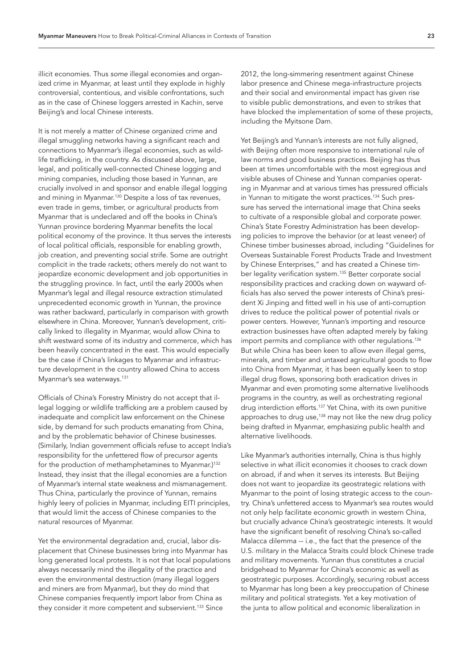illicit economies. Thus *some* illegal economies and organized crime in Myanmar, at least until they explode in highly controversial, contentious, and visible confrontations, such as in the case of Chinese loggers arrested in Kachin, serve Beijing's and local Chinese interests.

It is not merely a matter of Chinese organized crime and illegal smuggling networks having a significant reach and connections to Myanmar's illegal economies, such as wildlife trafficking, in the country. As discussed above, large, legal, and politically well-connected Chinese logging and mining companies, including those based in Yunnan, are crucially involved in and sponsor and enable illegal logging and mining in Myanmar.<sup>[130](#page-34-7)</sup> Despite a loss of tax revenues, even trade in gems, timber, or agricultural products from Myanmar that is undeclared and off the books in China's Yunnan province bordering Myanmar benefits the local political economy of the province. It thus serves the interests of local political officials, responsible for enabling growth, job creation, and preventing social strife. Some are outright complicit in the trade rackets; others merely do not want to jeopardize economic development and job opportunities in the struggling province. In fact, until the early 2000s when Myanmar's legal and illegal resource extraction stimulated unprecedented economic growth in Yunnan, the province was rather backward, particularly in comparison with growth elsewhere in China. Moreover, Yunnan's development, critically linked to illegality in Myanmar, would allow China to shift westward some of its industry and commerce, which has been heavily concentrated in the east. This would especially be the case if China's linkages to Myanmar and infrastructure development in the country allowed China to access Myanmar's sea waterways.<sup>131</sup>

Officials of China's Forestry Ministry do not accept that illegal logging or wildlife trafficking are a problem caused by inadequate and complicit law enforcement on the Chinese side, by demand for such products emanating from China, and by the problematic behavior of Chinese businesses. (Similarly, Indian government officials refuse to accept India's responsibility for the unfettered flow of precursor agents for the production of methamphetamines to Myanmar.)<sup>[132](#page-34-9)</sup> Instead, they insist that the illegal economies are a function of Myanmar's internal state weakness and mismanagement. Thus China, particularly the province of Yunnan, remains highly leery of policies in Myanmar, including EITI principles, that would limit the access of Chinese companies to the natural resources of Myanmar.

Yet the environmental degradation and, crucial, labor displacement that Chinese businesses bring into Myanmar has long generated local protests. It is not that local populations always necessarily mind the illegality of the practice and even the environmental destruction (many illegal loggers and miners are from Myanmar), but they do mind that Chinese companies frequently import labor from China as they consider it more competent and subservient.<sup>133</sup> Since

2012, the long-simmering resentment against Chinese labor presence and Chinese mega-infrastructure projects and their social and environmental impact has given rise to visible public demonstrations, and even to strikes that have blocked the implementation of some of these projects, including the Myitsone Dam.

Yet Beijing's and Yunnan's interests are not fully aligned, with Beijing often more responsive to international rule of law norms and good business practices. Beijing has thus been at times uncomfortable with the most egregious and visible abuses of Chinese and Yunnan companies operating in Myanmar and at various times has pressured officials in Yunnan to mitigate the worst practices.<sup>134</sup> Such pressure has served the international image that China seeks to cultivate of a responsible global and corporate power. China's State Forestry Administration has been developing policies to improve the behavior (or at least veneer) of Chinese timber businesses abroad, including "Guidelines for Overseas Sustainable Forest Products Trade and Investment by Chinese Enterprises," and has created a Chinese timber legality verification system.<sup>135</sup> Better corporate social responsibility practices and cracking down on wayward officials has also served the power interests of China's president Xi Jinping and fitted well in his use of anti-corruption drives to reduce the political power of potential rivals or power centers. However, Yunnan's importing and resource extraction businesses have often adapted merely by faking import permits and compliance with other regulations.<sup>[136](#page-34-13)</sup> But while China has been keen to allow even illegal gems, minerals, and timber and untaxed agricultural goods to flow into China from Myanmar, it has been equally keen to stop illegal drug flows, sponsoring both eradication drives in Myanmar and even promoting some alternative livelihoods programs in the country, as well as orchestrating regional drug interdiction efforts.[137](#page-34-14) Yet China, with its own punitive approaches to drug use, $138$  may not like the new drug policy being drafted in Myanmar, emphasizing public health and alternative livelihoods.

Like Myanmar's authorities internally, China is thus highly selective in what illicit economies it chooses to crack down on abroad, if and when it serves its interests. But Beijing does not want to jeopardize its geostrategic relations with Myanmar to the point of losing strategic access to the country. China's unfettered access to Myanmar's sea routes would not only help facilitate economic growth in western China, but crucially advance China's geostrategic interests. It would have the significant benefit of resolving China's so-called Malacca dilemma -- i.e., the fact that the presence of the U.S. military in the Malacca Straits could block Chinese trade and military movements. Yunnan thus constitutes a crucial bridgehead to Myanmar for China's economic as well as geostrategic purposes. Accordingly, securing robust access to Myanmar has long been a key preoccupation of Chinese military and political strategists. Yet a key motivation of the junta to allow political and economic liberalization in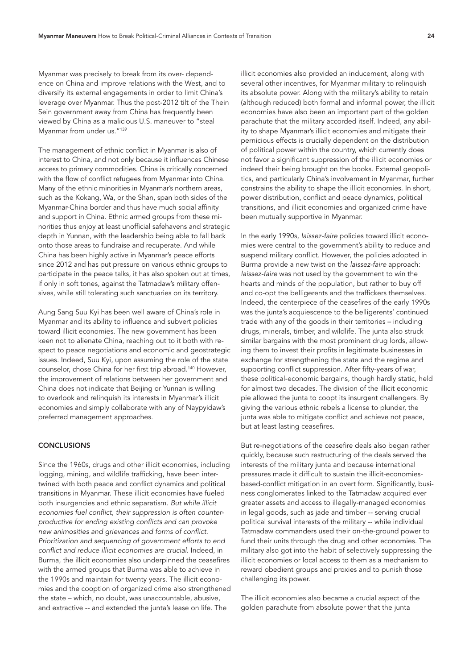Myanmar was precisely to break from its over- dependence on China and improve relations with the West, and to diversify its external engagements in order to limit China's leverage over Myanmar. Thus the post-2012 tilt of the Thein Sein government away from China has frequently been viewed by China as a malicious U.S. maneuver to "steal Myanmar from under us.["139](#page-34-16)

The management of ethnic conflict in Myanmar is also of interest to China, and not only because it influences Chinese access to primary commodities. China is critically concerned with the flow of conflict refugees from Myanmar into China. Many of the ethnic minorities in Myanmar's northern areas, such as the Kokang, Wa, or the Shan, span both sides of the Myanmar-China border and thus have much social affinity and support in China. Ethnic armed groups from these minorities thus enjoy at least unofficial safehavens and strategic depth in Yunnan, with the leadership being able to fall back onto those areas to fundraise and recuperate. And while China has been highly active in Myanmar's peace efforts since 2012 and has put pressure on various ethnic groups to participate in the peace talks, it has also spoken out at times, if only in soft tones, against the Tatmadaw's military offensives, while still tolerating such sanctuaries on its territory.

Aung Sang Suu Kyi has been well aware of China's role in Myanmar and its ability to influence and subvert policies toward illicit economies. The new government has been keen not to alienate China, reaching out to it both with respect to peace negotiations and economic and geostrategic issues. Indeed, Suu Kyi, upon assuming the role of the state counselor, chose China for her first trip abroad[.140](#page-34-17) However, the improvement of relations between her government and China does not indicate that Beijing or Yunnan is willing to overlook and relinquish its interests in Myanmar's illicit economies and simply collaborate with any of Naypyidaw's preferred management approaches.

#### **CONCLUSIONS**

Since the 1960s, drugs and other illicit economies, including logging, mining, and wildlife trafficking, have been intertwined with both peace and conflict dynamics and political transitions in Myanmar. These illicit economies have fueled both insurgencies and ethnic separatism. *But while illicit economies fuel conflict, their suppression is often counterproductive for ending existing conflicts and can provoke new animosities and grievances and forms of conflict. Prioritization and sequencing of government efforts to end conflict and reduce illicit economies are crucial.* Indeed, in Burma, the illicit economies also underpinned the ceasefires with the armed groups that Burma was able to achieve in the 1990s and maintain for twenty years. The illicit economies and the cooption of organized crime also strengthened the state – which, no doubt, was unaccountable, abusive, and extractive -- and extended the junta's lease on life. The

illicit economies also provided an inducement, along with several other incentives, for Myanmar military to relinquish its absolute power. Along with the military's ability to retain (although reduced) both formal and informal power, the illicit economies have also been an important part of the golden parachute that the military accorded itself. Indeed, any ability to shape Myanmar's illicit economies and mitigate their pernicious effects is crucially dependent on the distribution of political power within the country, which currently does not favor a significant suppression of the illicit economies or indeed their being brought on the books. External geopolitics, and particularly China's involvement in Myanmar, further constrains the ability to shape the illicit economies. In short, power distribution, conflict and peace dynamics, political transitions, and illicit economies and organized crime have been mutually supportive in Myanmar.

In the early 1990s, *laissez-faire* policies toward illicit economies were central to the government's ability to reduce and suspend military conflict. However, the policies adopted in Burma provide a new twist on the *laissez-faire* approach: *laissez-faire* was not used by the government to win the hearts and minds of the population, but rather to buy off and co-opt the belligerents and the traffickers themselves. Indeed, the centerpiece of the ceasefires of the early 1990s was the junta's acquiescence to the belligerents' continued trade with any of the goods in their territories – including drugs, minerals, timber, and wildlife. The junta also struck similar bargains with the most prominent drug lords, allowing them to invest their profits in legitimate businesses in exchange for strengthening the state and the regime and supporting conflict suppression. After fifty-years of war, these political-economic bargains, though hardly static, held for almost two decades. The division of the illicit economic pie allowed the junta to coopt its insurgent challengers. By giving the various ethnic rebels a license to plunder, the junta was able to mitigate conflict and achieve not peace, but at least lasting ceasefires.

But re-negotiations of the ceasefire deals also began rather quickly, because such restructuring of the deals served the interests of the military junta and because international pressures made it difficult to sustain the illicit-economiesbased-conflict mitigation in an overt form. Significantly, business conglomerates linked to the Tatmadaw acquired ever greater assets and access to illegally-managed economies in legal goods, such as jade and timber -- serving crucial political survival interests of the military -- while individual Tatmadaw commanders used their on-the-ground power to fund their units through the drug and other economies. The military also got into the habit of selectively suppressing the illicit economies or local access to them as a mechanism to reward obedient groups and proxies and to punish those challenging its power.

The illicit economies also became a crucial aspect of the golden parachute from absolute power that the junta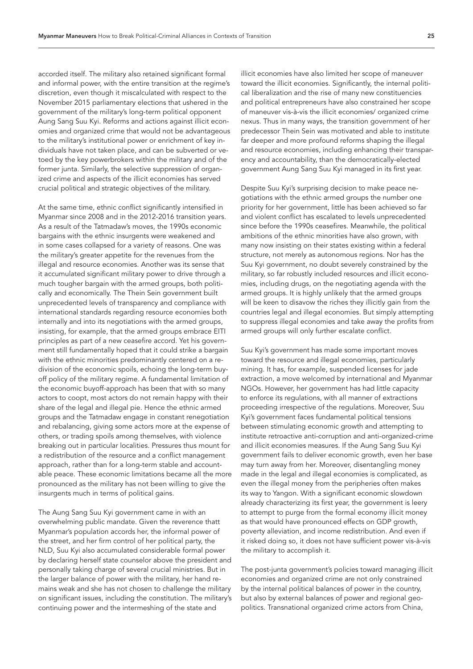accorded itself. The military also retained significant formal and informal power, with the entire transition at the regime's discretion, even though it miscalculated with respect to the November 2015 parliamentary elections that ushered in the government of the military's long-term political opponent Aung Sang Suu Kyi. Reforms and actions against illicit economies and organized crime that would not be advantageous to the military's institutional power or enrichment of key individuals have not taken place, and can be subverted or vetoed by the key powerbrokers within the military and of the former junta. Similarly, the selective suppression of organized crime and aspects of the illicit economies has served crucial political and strategic objectives of the military.

At the same time, ethnic conflict significantly intensified in Myanmar since 2008 and in the 2012-2016 transition years. As a result of the Tatmadaw's moves, the 1990s economic bargains with the ethnic insurgents were weakened and in some cases collapsed for a variety of reasons. One was the military's greater appetite for the revenues from the illegal and resource economies. Another was its sense that it accumulated significant military power to drive through a much tougher bargain with the armed groups, both politically and economically. The Thein Sein government built unprecedented levels of transparency and compliance with international standards regarding resource economies both internally and into its negotiations with the armed groups, insisting, for example, that the armed groups embrace EITI principles as part of a new ceasefire accord. Yet his government still fundamentally hoped that it could strike a bargain with the ethnic minorities predominantly centered on a redivision of the economic spoils, echoing the long-term buyoff policy of the military regime. A fundamental limitation of the economic buyoff-approach has been that with so many actors to coopt, most actors do not remain happy with their share of the legal and illegal pie. Hence the ethnic armed groups and the Tatmadaw engage in constant renegotiation and rebalancing, giving some actors more at the expense of others, or trading spoils among themselves, with violence breaking out in particular localities. Pressures thus mount for a redistribution of the resource and a conflict management approach, rather than for a long-term stable and accountable peace. These economic limitations became all the more pronounced as the military has not been willing to give the insurgents much in terms of political gains.

The Aung Sang Suu Kyi government came in with an overwhelming public mandate. Given the reverence thatt Myanmar's population accords her, the informal power of the street, and her firm control of her political party, the NLD, Suu Kyi also accumulated considerable formal power by declaring herself state counselor above the president and personally taking charge of several crucial ministries. But in the larger balance of power with the military, her hand remains weak and she has not chosen to challenge the military on significant issues, including the constitution. The military's continuing power and the intermeshing of the state and

illicit economies have also limited her scope of maneuver toward the illicit economies. Significantly, the internal political liberalization and the rise of many new constituencies and political entrepreneurs have also constrained her scope of maneuver vis-à-vis the illicit economies/ organized crime nexus. Thus in many ways, the transition government of her predecessor Thein Sein was motivated and able to institute far deeper and more profound reforms shaping the illegal and resource economies, including enhancing their transparency and accountability, than the democratically-elected government Aung Sang Suu Kyi managed in its first year.

Despite Suu Kyi's surprising decision to make peace negotiations with the ethnic armed groups the number one priority for her government, little has been achieved so far and violent conflict has escalated to levels unprecedented since before the 1990s ceasefires. Meanwhile, the political ambitions of the ethnic minorities have also grown, with many now insisting on their states existing within a federal structure, not merely as autonomous regions. Nor has the Suu Kyi government, no doubt severely constrained by the military, so far robustly included resources and illicit economies, including drugs, on the negotiating agenda with the armed groups. It is highly unlikely that the armed groups will be keen to disavow the riches they illicitly gain from the countries legal and illegal economies. But simply attempting to suppress illegal economies and take away the profits from armed groups will only further escalate conflict.

Suu Kyi's government has made some important moves toward the resource and illegal economies, particularly mining. It has, for example, suspended licenses for jade extraction, a move welcomed by international and Myanmar NGOs. However, her government has had little capacity to enforce its regulations, with all manner of extractions proceeding irrespective of the regulations. Moreover, Suu Kyi's government faces fundamental political tensions between stimulating economic growth and attempting to institute retroactive anti-corruption and anti-organized-crime and illicit economies measures. If the Aung Sang Suu Kyi government fails to deliver economic growth, even her base may turn away from her. Moreover, disentangling money made in the legal and illegal economies is complicated, as even the illegal money from the peripheries often makes its way to Yangon. With a significant economic slowdown already characterizing its first year, the government is leery to attempt to purge from the formal economy illicit money as that would have pronounced effects on GDP growth, poverty alleviation, and income redistribution. And even if it risked doing so, it does not have sufficient power vis-à-vis the military to accomplish it.

The post-junta government's policies toward managing illicit economies and organized crime are not only constrained by the internal political balances of power in the country, but also by external balances of power and regional geopolitics. Transnational organized crime actors from China,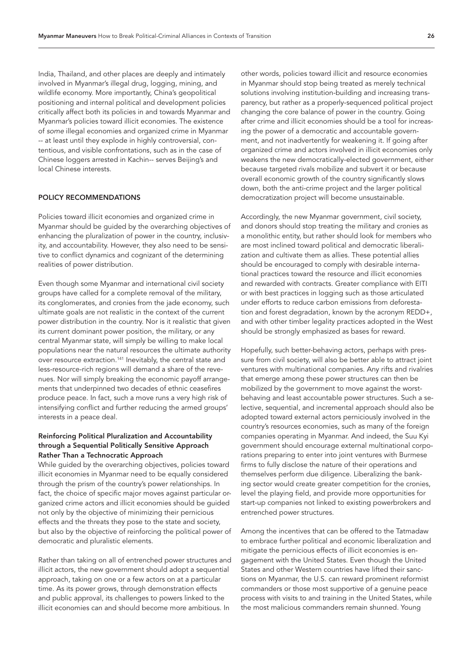India, Thailand, and other places are deeply and intimately involved in Myanmar's illegal drug, logging, mining, and wildlife economy. More importantly, China's geopolitical positioning and internal political and development policies critically affect both its policies in and towards Myanmar and Myanmar's policies toward illicit economies. The existence of *some* illegal economies and organized crime in Myanmar -- at least until they explode in highly controversial, contentious, and visible confrontations, such as in the case of Chinese loggers arrested in Kachin-- serves Beijing's and local Chinese interests.

# POLICY RECOMMENDATIONS

Policies toward illicit economies and organized crime in Myanmar should be guided by the overarching objectives of enhancing the pluralization of power in the country, inclusivity, and accountability. However, they also need to be sensitive to conflict dynamics and cognizant of the determining realities of power distribution.

Even though some Myanmar and international civil society groups have called for a complete removal of the military, its conglomerates, and cronies from the jade economy, such ultimate goals are not realistic in the context of the current power distribution in the country. Nor is it realistic that given its current dominant power position, the military, or any central Myanmar state, will simply be willing to make local populations near the natural resources the ultimate authority over resource extraction[.141](#page-34-18) Inevitably, the central state and less-resource-rich regions will demand a share of the revenues. Nor will simply breaking the economic payoff arrangements that underpinned two decades of ethnic ceasefires produce peace. In fact, such a move runs a very high risk of intensifying conflict and further reducing the armed groups' interests in a peace deal.

# Reinforcing Political Pluralization and Accountability through a Sequential Politically Sensitive Approach Rather Than a Technocratic Approach

While guided by the overarching objectives, policies toward illicit economies in Myanmar need to be equally considered through the prism of the country's power relationships. In fact, the choice of specific major moves against particular organized crime actors and illicit economies should be guided not only by the objective of minimizing their pernicious effects and the threats they pose to the state and society, but also by the objective of reinforcing the political power of democratic and pluralistic elements.

Rather than taking on all of entrenched power structures and illicit actors, the new government should adopt a sequential approach, taking on one or a few actors on at a particular time. As its power grows, through demonstration effects and public approval, its challenges to powers linked to the illicit economies can and should become more ambitious. In

other words, policies toward illicit and resource economies in Myanmar should stop being treated as merely technical solutions involving institution-building and increasing transparency, but rather as a properly-sequenced political project changing the core balance of power in the country. Going after crime and illicit economies should be a tool for increasing the power of a democratic and accountable government, and not inadvertently for weakening it. If going after organized crime and actors involved in illicit economies only weakens the new democratically-elected government, either because targeted rivals mobilize and subvert it or because overall economic growth of the country significantly slows down, both the anti-crime project and the larger political democratization project will become unsustainable.

Accordingly, the new Myanmar government, civil society, and donors should stop treating the military and cronies as a monolithic entity, but rather should look for members who are most inclined toward political and democratic liberalization and cultivate them as allies. These potential allies should be encouraged to comply with desirable international practices toward the resource and illicit economies and rewarded with contracts. Greater compliance with EITI or with best practices in logging such as those articulated under efforts to reduce carbon emissions from deforestation and forest degradation, known by the acronym REDD+, and with other timber legality practices adopted in the West should be strongly emphasized as bases for reward.

Hopefully, such better-behaving actors, perhaps with pressure from civil society, will also be better able to attract joint ventures with multinational companies. Any rifts and rivalries that emerge among these power structures can then be mobilized by the government to move against the worstbehaving and least accountable power structures. Such a selective, sequential, and incremental approach should also be adopted toward external actors perniciously involved in the country's resources economies, such as many of the foreign companies operating in Myanmar. And indeed, the Suu Kyi government should encourage external multinational corporations preparing to enter into joint ventures with Burmese firms to fully disclose the nature of their operations and themselves perform due diligence. Liberalizing the banking sector would create greater competition for the cronies, level the playing field, and provide more opportunities for start-up companies not linked to existing powerbrokers and entrenched power structures.

Among the incentives that can be offered to the Tatmadaw to embrace further political and economic liberalization and mitigate the pernicious effects of illicit economies is engagement with the United States. Even though the United States and other Western countries have lifted their sanctions on Myanmar, the U.S. can reward prominent reformist commanders or those most supportive of a genuine peace process with visits to and training in the United States, while the most malicious commanders remain shunned. Young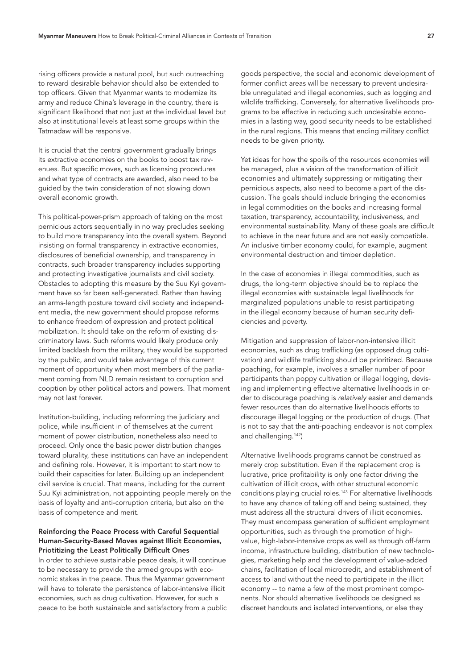rising officers provide a natural pool, but such outreaching to reward desirable behavior should also be extended to top officers. Given that Myanmar wants to modernize its army and reduce China's leverage in the country, there is significant likelihood that not just at the individual level but also at institutional levels at least some groups within the Tatmadaw will be responsive.

It is crucial that the central government gradually brings its extractive economies on the books to boost tax revenues. But specific moves, such as licensing procedures and what type of contracts are awarded, also need to be guided by the twin consideration of not slowing down overall economic growth.

This political-power-prism approach of taking on the most pernicious actors sequentially in no way precludes seeking to build more transparency into the overall system. Beyond insisting on formal transparency in extractive economies, disclosures of beneficial ownership, and transparency in contracts, such broader transparency includes supporting and protecting investigative journalists and civil society. Obstacles to adopting this measure by the Suu Kyi government have so far been self-generated. Rather than having an arms-length posture toward civil society and independent media, the new government should propose reforms to enhance freedom of expression and protect political mobilization. It should take on the reform of existing discriminatory laws. Such reforms would likely produce only limited backlash from the military, they would be supported by the public, and would take advantage of this current moment of opportunity when most members of the parliament coming from NLD remain resistant to corruption and cooption by other political actors and powers. That moment may not last forever.

Institution-building, including reforming the judiciary and police, while insufficient in of themselves at the current moment of power distribution, nonetheless also need to proceed. Only once the basic power distribution changes toward plurality, these institutions can have an independent and defining role. However, it is important to start now to build their capacities for later. Building up an independent civil service is crucial. That means, including for the current Suu Kyi administration, not appointing people merely on the basis of loyalty and anti-corruption criteria, but also on the basis of competence and merit.

# Reinforcing the Peace Process with Careful Sequential Human-Security-Based Moves against Illicit Economies, Priotitizing the Least Politically Difficult Ones

In order to achieve sustainable peace deals, it will continue to be necessary to provide the armed groups with economic stakes in the peace. Thus the Myanmar government will have to tolerate the persistence of labor-intensive illicit economies, such as drug cultivation. However, for such a peace to be both sustainable and satisfactory from a public

goods perspective, the social and economic development of former conflict areas will be necessary to prevent undesirable unregulated and illegal economies, such as logging and wildlife trafficking. Conversely, for alternative livelihoods programs to be effective in reducing such undesirable economies in a lasting way, good security needs to be established in the rural regions. This means that ending military conflict needs to be given priority.

Yet ideas for how the spoils of the resources economies will be managed, plus a vision of the transformation of illicit economies and ultimately suppressing or mitigating their pernicious aspects, also need to become a part of the discussion. The goals should include bringing the economies in legal commodities on the books and increasing formal taxation, transparency, accountability, inclusiveness, and environmental sustainability. Many of these goals are difficult to achieve in the near future and are not easily compatible. An inclusive timber economy could, for example, augment environmental destruction and timber depletion.

In the case of economies in illegal commodities, such as drugs, the long-term objective should be to replace the illegal economies with sustainable legal livelihoods for marginalized populations unable to resist participating in the illegal economy because of human security deficiencies and poverty.

Mitigation and suppression of labor-non-intensive illicit economies, such as drug trafficking (as opposed drug cultivation) and wildlife trafficking should be prioritized. Because poaching, for example, involves a smaller number of poor participants than poppy cultivation or illegal logging, devising and implementing effective alternative livelihoods in order to discourage poaching is *relatively* easier and demands fewer resources than do alternative livelihoods efforts to discourage illegal logging or the production of drugs. (That is not to say that the anti-poaching endeavor is not complex and challenging.[142\)](#page-34-19)

Alternative livelihoods programs cannot be construed as merely crop substitution. Even if the replacement crop is lucrative, price profitability is only one factor driving the cultivation of illicit crops, with other structural economic conditions playing crucial roles[.143](#page-34-20) For alternative livelihoods to have any chance of taking off and being sustained, they must address all the structural drivers of illicit economies. They must encompass generation of sufficient employment opportunities, such as through the promotion of highvalue, high-labor-intensive crops as well as through off-farm income, infrastructure building, distribution of new technologies, marketing help and the development of value-added chains, facilitation of local microcredit, and establishment of access to land without the need to participate in the illicit economy -- to name a few of the most prominent components. Nor should alternative livelihoods be designed as discreet handouts and isolated interventions, or else they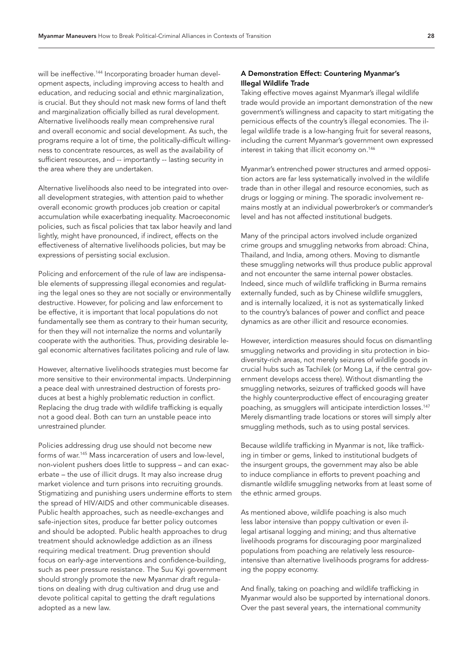will be ineffective.<sup>144</sup> Incorporating broader human development aspects, including improving access to health and education, and reducing social and ethnic marginalization, is crucial. But they should not mask new forms of land theft and marginalization officially billed as rural development. Alternative livelihoods really mean comprehensive rural and overall economic and social development. As such, the programs require a lot of time, the politically-difficult willingness to concentrate resources, as well as the availability of sufficient resources, and -- importantly -- lasting security in the area where they are undertaken.

Alternative livelihoods also need to be integrated into overall development strategies, with attention paid to whether overall economic growth produces job creation or capital accumulation while exacerbating inequality. Macroeconomic policies, such as fiscal policies that tax labor heavily and land lightly, might have pronounced, if indirect, effects on the effectiveness of alternative livelihoods policies, but may be expressions of persisting social exclusion.

Policing and enforcement of the rule of law are indispensable elements of suppressing illegal economies and regulating the legal ones so they are not socially or environmentally destructive. However, for policing and law enforcement to be effective, it is important that local populations do not fundamentally see them as contrary to their human security, for then they will not internalize the norms and voluntarily cooperate with the authorities. Thus, providing desirable legal economic alternatives facilitates policing and rule of law.

However, alternative livelihoods strategies must become far more sensitive to their environmental impacts. Underpinning a peace deal with unrestrained destruction of forests produces at best a highly problematic reduction in conflict. Replacing the drug trade with wildlife trafficking is equally not a good deal. Both can turn an unstable peace into unrestrained plunder.

Policies addressing drug use should not become new forms of war.[145](#page-34-22) Mass incarceration of users and low-level, non-violent pushers does little to suppress – and can exacerbate – the use of illicit drugs. It may also increase drug market violence and turn prisons into recruiting grounds. Stigmatizing and punishing users undermine efforts to stem the spread of HIV/AIDS and other communicable diseases. Public health approaches, such as needle-exchanges and safe-injection sites, produce far better policy outcomes and should be adopted. Public health approaches to drug treatment should acknowledge addiction as an illness requiring medical treatment. Drug prevention should focus on early-age interventions and confidence-building, such as peer pressure resistance. The Suu Kyi government should strongly promote the new Myanmar draft regulations on dealing with drug cultivation and drug use and devote political capital to getting the draft regulations adopted as a new law.

# A Demonstration Effect: Countering Myanmar's Illegal Wildlife Trade

Taking effective moves against Myanmar's illegal wildlife trade would provide an important demonstration of the new government's willingness and capacity to start mitigating the pernicious effects of the country's illegal economies. The illegal wildlife trade is a low-hanging fruit for several reasons, including the current Myanmar's government own expressed interest in taking that illicit economy on.[146](#page-34-23)

Myanmar's entrenched power structures and armed opposition actors are far less systematically involved in the wildlife trade than in other illegal and resource economies, such as drugs or logging or mining. The sporadic involvement remains mostly at an individual powerbroker's or commander's level and has not affected institutional budgets.

Many of the principal actors involved include organized crime groups and smuggling networks from abroad: China, Thailand, and India, among others. Moving to dismantle these smuggling networks will thus produce public approval and not encounter the same internal power obstacles. Indeed, since much of wildlife trafficking in Burma remains externally funded, such as by Chinese wildlife smugglers, and is internally localized, it is not as systematically linked to the country's balances of power and conflict and peace dynamics as are other illicit and resource economies.

However, interdiction measures should focus on dismantling smuggling networks and providing in situ protection in biodiversity-rich areas, not merely seizures of wildlife goods in crucial hubs such as Tachilek (or Mong La, if the central government develops access there). Without dismantling the smuggling networks, seizures of trafficked goods will have the highly counterproductive effect of encouraging greater poaching, as smugglers will anticipate interdiction losses.[147](#page-34-24) Merely dismantling trade locations or stores will simply alter smuggling methods, such as to using postal services.

Because wildlife trafficking in Myanmar is not, like trafficking in timber or gems, linked to institutional budgets of the insurgent groups, the government may also be able to induce compliance in efforts to prevent poaching and dismantle wildlife smuggling networks from at least some of the ethnic armed groups.

As mentioned above, wildlife poaching is also much less labor intensive than poppy cultivation or even illegal artisanal logging and mining; and thus alternative livelihoods programs for discouraging poor marginalized populations from poaching are relatively less resourceintensive than alternative livelihoods programs for addressing the poppy economy.

And finally, taking on poaching and wildlife trafficking in Myanmar would also be supported by international donors. Over the past several years, the international community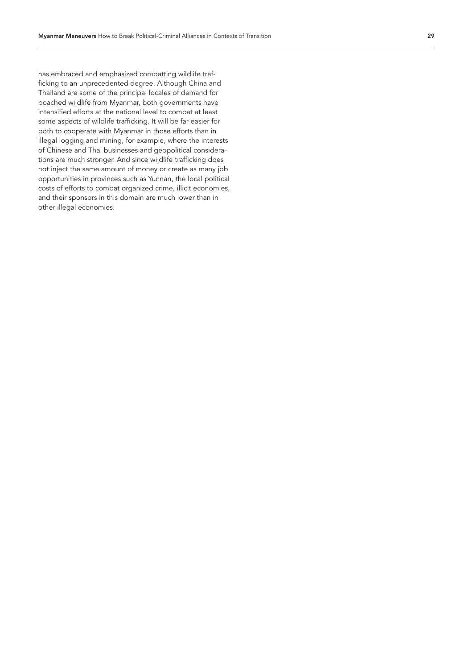has embraced and emphasized combatting wildlife traf ficking to an unprecedented degree. Although China and Thailand are some of the principal locales of demand for poached wildlife from Myanmar, both governments have intensified efforts at the national level to combat at least some aspects of wildlife trafficking. It will be far easier for both to cooperate with Myanmar in those efforts than in illegal logging and mining, for example, where the interests of Chinese and Thai businesses and geopolitical considera tions are much stronger. And since wildlife trafficking does not inject the same amount of money or create as many job opportunities in provinces such as Yunnan, the local political costs of efforts to combat organized crime, illicit economies, and their sponsors in this domain are much lower than in other illegal economies.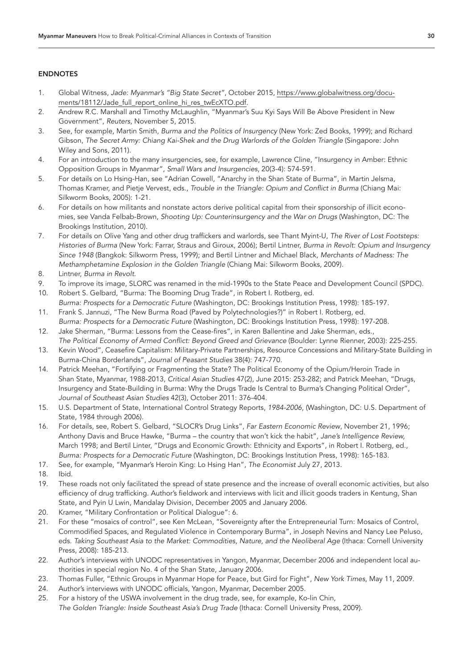# ENDNOTES

- <span id="page-29-0"></span>1. Global Witness, *Jade: Myanmar's "Big State Secret"*, October 2015, [https://www.globalwitness.org/docu](https://www.globalwitness.org/documents/18112/Jade_full_report_online_hi_res_twEcXTO.pdf)[ments/18112/Jade\\_full\\_report\\_online\\_hi\\_res\\_twEcXTO.pdf](https://www.globalwitness.org/documents/18112/Jade_full_report_online_hi_res_twEcXTO.pdf).
- <span id="page-29-1"></span>2. Andrew R.C. Marshall and Timothy McLaughlin, "Myanmar's Suu Kyi Says Will Be Above President in New Government", *Reuters*, November 5, 2015.
- <span id="page-29-2"></span>3. See, for example, Martin Smith, *Burma and the Politics of Insurgency* (New York: Zed Books, 1999); and Richard Gibson, The Secret Army: Chiang Kai-Shek and the Drug Warlords of the Golden Triangle (Singapore: John Wiley and Sons, 2011).
- <span id="page-29-3"></span>4. For an introduction to the many insurgencies, see, for example, Lawrence Cline, "Insurgency in Amber: Ethnic Opposition Groups in Myanmar", *Small Wars and Insurgencies*, 20(3-4): 574-591.
- <span id="page-29-4"></span>5. For details on Lo Hsing-Han, see "Adrian Cowell, "Anarchy in the Shan State of Burma", in Martin Jelsma, Thomas Kramer, and Pietje Vervest, eds., *Trouble in the Triangle: Opium and Conflict in Burma* (Chiang Mai: Silkworm Books, 2005): 1-21.
- <span id="page-29-5"></span>6. For details on how militants and nonstate actors derive political capital from their sponsorship of illicit economies, see Vanda Felbab-Brown, *Shooting Up: Counterinsurgency and the War on Drugs* (Washington, DC: The Brookings Institution, 2010).
- <span id="page-29-6"></span>7. For details on Olive Yang and other drug traffickers and warlords, see Thant Myint-U, *The River of Lost Footsteps: Histories of Burma* (New York: Farrar, Straus and Giroux, 2006); Bertil Lintner, *Burma in Revolt: Opium and Insurgency Since 1948* (Bangkok: Silkworm Press, 1999); and Bertil Lintner and Michael Black, *Merchants of Madness: The Methamphetamine Explosion in the Golden Triangle* (Chiang Mai: Silkworm Books, 2009).
- <span id="page-29-7"></span>8. Lintner, *Burma in Revolt*.
- <span id="page-29-8"></span>9. To improve its image, SLORC was renamed in the mid-1990s to the State Peace and Development Council (SPDC).
- <span id="page-29-9"></span>10. Robert S. Gelbard, "Burma: The Booming Drug Trade", in Robert I. Rotberg, ed.
- <span id="page-29-10"></span>*Burma: Prospects for a Democratic Future* (Washington, DC: Brookings Institution Press, 1998): 185-197. 11. Frank S. Jannuzi, "The New Burma Road (Paved by Polytechnologies?)" in Robert I. Rotberg, ed.
- <span id="page-29-11"></span>*Burma: Prospects for a Democratic Future* (Washington, DC: Brookings Institution Press, 1998): 197-208. 12. Jake Sherman, "Burma: Lessons from the Cease-fires", in Karen Ballentine and Jake Sherman, eds.,
- <span id="page-29-12"></span>*The Political Economy of Armed Conflict: Beyond Greed and Grievance* (Boulder: Lynne Rienner, 2003): 225-255. 13. Kevin Wood", Ceasefire Capitalism: Military-Private Partnerships, Resource Concessions and Military-State Building in
- <span id="page-29-13"></span>Burma-China Borderlands", *Journal of Peasant Studies* 38(4): 747-770. 14. Patrick Meehan, "Fortifying or Fragmenting the State? The Political Economy of the Opium/Heroin Trade in Shan State, Myanmar, 1988-2013, *Critical Asian Studies* 47(2), June 2015: 253-282; and Patrick Meehan, "Drugs, Insurgency and State-Building in Burma: Why the Drugs Trade Is Central to Burma's Changing Political Order", *Journal of Southeast Asian Studies* 42(3), October 2011: 376-404.
- <span id="page-29-14"></span>15. U.S. Department of State, International Control Strategy Reports, *1984-2006*, (Washington, DC: U.S. Department of State, 1984 through 2006).
- <span id="page-29-15"></span>16. For details, see, Robert S. Gelbard, "SLOCR's Drug Links", *Far Eastern Economic Review*, November 21, 1996; Anthony Davis and Bruce Hawke, "Burma – the country that won't kick the habit", *Jane's Intelligence Review,* March 1998; and Bertil Linter, "Drugs and Economic Growth: Ethnicity and Exports", in Robert I. Rotberg, ed., *Burma: Prospects for a Democratic Future* (Washington, DC: Brookings Institution Press, 1998): 165-183.
- <span id="page-29-16"></span>17. See, for example, "Myanmar's Heroin King: Lo Hsing Han", *The Economist* July 27, 2013.
- <span id="page-29-17"></span>18. Ibid.
- <span id="page-29-18"></span>19. These roads not only facilitated the spread of state presence and the increase of overall economic activities, but also efficiency of drug trafficking. Author's fieldwork and interviews with licit and illicit goods traders in Kentung, Shan State, and Pyin U Lwin, Mandalay Division, December 2005 and January 2006.
- <span id="page-29-19"></span>20. Kramer, "Military Confrontation or Political Dialogue": 6.
- <span id="page-29-20"></span>21. For these "mosaics of control", see Ken McLean, "Sovereignty after the Entrepreneurial Turn: Mosaics of Control, Commodified Spaces, and Regulated Violence in Contemporary Burma", in Joseph Nevins and Nancy Lee Peluso, eds. *Taking Southeast Asia to the Market: Commodities, Nature, and the Neoliberal Age* (Ithaca: Cornell University Press, 2008): 185-213.
- <span id="page-29-21"></span>22. Author's interviews with UNODC representatives in Yangon, Myanmar, December 2006 and independent local authorities in special region No. 4 of the Shan State, January 2006.
- <span id="page-29-22"></span>23. Thomas Fuller, "Ethnic Groups in Myanmar Hope for Peace, but Gird for Fight", *New York Times*, May 11, 2009.
- <span id="page-29-23"></span>24. Author's interviews with UNODC officials, Yangon, Myanmar, December 2005.
- <span id="page-29-24"></span>25. For a history of the USWA involvement in the drug trade, see, for example, Ko-lin Chin, *The Golden Triangle: Inside Southeast Asia's Drug Trade* (Ithaca: Cornell University Press, 2009).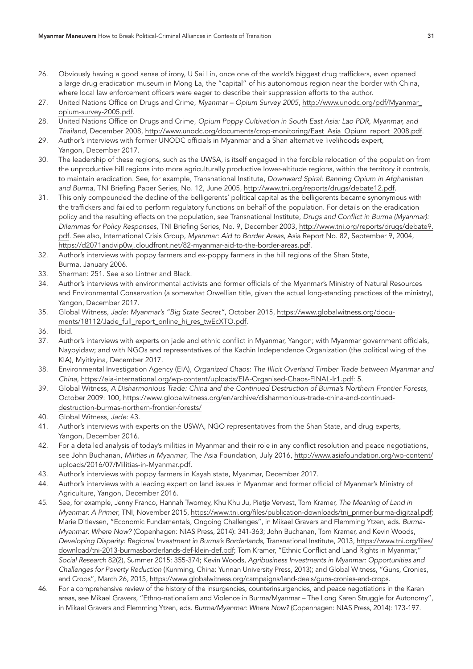- <span id="page-30-0"></span>26. Obviously having a good sense of irony, U Sai Lin, once one of the world's biggest drug traffickers, even opened a large drug eradication museum in Mong La, the "capital" of his autonomous region near the border with China, where local law enforcement officers were eager to describe their suppression efforts to the author.
- <span id="page-30-1"></span>27. United Nations Office on Drugs and Crime, *Myanmar – Opium Survey 2005*, [http://www.unodc.org/pdf/Myanmar\\_](http://www.unodc.org/pdf/Myanmar_opium-survey-2005.pdf) [opium-survey-2005.pdf](http://www.unodc.org/pdf/Myanmar_opium-survey-2005.pdf).
- <span id="page-30-2"></span>28. United Nations Office on Drugs and Crime, *Opium Poppy Cultivation in South East Asia: Lao PDR, Myanmar, and Thailand*, December 2008, [http://www.unodc.org/documents/crop-monitoring/East\\_Asia\\_Opium\\_report\\_2008.pdf](http://www.unodc.org/documents/crop-monitoring/East_Asia_Opium_report_2008.pdf).
- <span id="page-30-3"></span>29. Author's interviews with former UNODC officials in Myanmar and a Shan alternative livelihoods expert, Yangon, December 2017.
- <span id="page-30-4"></span>30. The leadership of these regions, such as the UWSA, is itself engaged in the forcible relocation of the population from the unproductive hill regions into more agriculturally productive lower-altitude regions, within the territory it controls, to maintain eradication. See, for example, Transnational Institute, *Downward Spiral: Banning Opium in Afghanistan and Burma*, TNI Briefing Paper Series, No. 12, June 2005, [http://www.tni.org/reports/drugs/debate12.pdf.](http://www.tni.org/reports/drugs/debate12.pdf)
- <span id="page-30-5"></span>31. This only compounded the decline of the belligerents' political capital as the belligerents became synonymous with the traffickers and failed to perform regulatory functions on behalf of the population. For details on the eradication policy and the resulting effects on the population, see Transnational Institute, *Drugs and Conflict in Burma (Myanmar): Dilemmas for Policy Responses*, TNI Briefing Series, No. 9, December 2003, [http://www.tni.org/reports/drugs/debate9.](http://www.tni.org/reports/drugs/debate9.pdf) [pdf](http://www.tni.org/reports/drugs/debate9.pdf). See also, International Crisis Group, *Myanmar: Aid to Border Areas*, Asia Report No. 82, September 9, 2004, [https://d2071andvip0wj.cloudfront.net/82-myanmar-aid-to-the-border-areas.pdf.](https://d2071andvip0wj.cloudfront.net/82-myanmar-aid-to-the-border-areas.pdf)
- <span id="page-30-6"></span>32. Author's interviews with poppy farmers and ex-poppy farmers in the hill regions of the Shan State, Burma, January 2006.
- <span id="page-30-7"></span>33. Sherman: 251. See also Lintner and Black.
- <span id="page-30-8"></span>34. Author's interviews with environmental activists and former officials of the Myanmar's Ministry of Natural Resources and Environmental Conservation (a somewhat Orwellian title, given the actual long-standing practices of the ministry), Yangon, December 2017.
- <span id="page-30-9"></span>35. Global Witness, *Jade: Myanmar's "Big State Secret"*, October 2015, [https://www.globalwitness.org/docu](https://www.globalwitness.org/documents/18112/Jade_full_report_online_hi_res_twEcXTO.pdf)[ments/18112/Jade\\_full\\_report\\_online\\_hi\\_res\\_twEcXTO.pdf](https://www.globalwitness.org/documents/18112/Jade_full_report_online_hi_res_twEcXTO.pdf).
- <span id="page-30-10"></span>36. Ibid.
- <span id="page-30-11"></span>37. Author's interviews with experts on jade and ethnic conflict in Myanmar, Yangon; with Myanmar government officials, Naypyidaw; and with NGOs and representatives of the Kachin Independence Organization (the political wing of the KIA), Myitkyina, December 2017.
- <span id="page-30-12"></span>38. Environmental Investigation Agency (EIA), *Organized Chaos: The Illicit Overland Timber Trade between Myanmar and China*, [https://eia-international.org/wp-content/uploads/EIA-Organised-Chaos-FINAL-lr1.pdf:](https://eia-international.org/wp-content/uploads/EIA-Organised-Chaos-FINAL-lr1.pdf) 5.
- <span id="page-30-13"></span>39. Global Witness, *A Disharmonious Trade: China and the Continued Destruction of Burma's Northern Frontier Forests*, October 2009: 100, [https://www.globalwitness.org/en/archive/disharmonious-trade-china-and-continued](https://www.globalwitness.org/en/archive/disharmonious-trade-china-and-continued-destruction-burmas-northern-frontier-forests/)[destruction-burmas-northern-frontier-forests/](https://www.globalwitness.org/en/archive/disharmonious-trade-china-and-continued-destruction-burmas-northern-frontier-forests/)
- <span id="page-30-14"></span>40. Global Witness, *Jade*: 43.
- <span id="page-30-15"></span>41. Author's interviews with experts on the USWA, NGO representatives from the Shan State, and drug experts, Yangon, December 2016.
- <span id="page-30-16"></span>42. For a detailed analysis of today's militias in Myanmar and their role in any conflict resolution and peace negotiations, see John Buchanan, *Militias in Myanmar*, The Asia Foundation, July 2016, http://www.[asiafoundation.org/wp-content/](http://www.asiafoundation.org/wp-content/uploads/2016/07/Militias-in-Myanmar.pdf) [uploads/2016/07/Militias-in-Myanmar.pdf.](http://www.asiafoundation.org/wp-content/uploads/2016/07/Militias-in-Myanmar.pdf)
- <span id="page-30-17"></span>43. Author's interviews with poppy farmers in Kayah state, Myanmar, December 2017.
- <span id="page-30-18"></span>44. Author's interviews with a leading expert on land issues in Myanmar and former official of Myanmar's Ministry of Agriculture, Yangon, December 2016.
- <span id="page-30-19"></span>45. See, for example, Jenny Franco, Hannah Twomey, Khu Khu Ju, Pietje Vervest, Tom Kramer, *The Meaning of Land in Myanmar: A Primer*, TNI, November 2015, [https://www.tni.org/files/publication-downloads/tni\\_primer-burma-digitaal.pdf](https://www.tni.org/files/publication-downloads/tni_primer-burma-digitaal.pdf); Marie Ditlevsen, "Economic Fundamentals, Ongoing Challenges", in Mikael Gravers and Flemming Ytzen, eds. *Burma-Myanmar: Where Now?* (Copenhagen: NIAS Press, 2014): 341-363; John Buchanan, Tom Kramer, and Kevin Woods, *Developing Disparity: Regional Investment in Burma's Borderlands*, Transnational Institute, 2013, [https://www.tni.org/files/](https://www.tni.org/files/download/tni-2013-burmasborderlands-def-klein-def.pdf) [download/tni-2013-burmasborderlands-def-klein-def.pdf](https://www.tni.org/files/download/tni-2013-burmasborderlands-def-klein-def.pdf); Tom Kramer, "Ethnic Conflict and Land Rights in Myanmar," *Social Research* 82(2), Summer 2015: 355-374; Kevin Woods, *Agribusiness Investments in Myanmar: Opportunities and Challenges for Poverty Reduction* (Kunming, China: Yunnan University Press, 2013); and Global Witness, "Guns, Cronies, and Crops", March 26, 2015,<https://www.globalwitness.org/campaigns/land-deals/guns-cronies-and-crops>.
- <span id="page-30-20"></span>46. For a comprehensive review of the history of the insurgencies, counterinsurgencies, and peace negotiations in the Karen areas, see Mikael Gravers, "Ethno-nationalism and Violence in Burma/Myanmar – The Long Karen Struggle for Autonomy", in Mikael Gravers and Flemming Ytzen, eds. *Burma/Myanmar: Where Now?* (Copenhagen: NIAS Press, 2014): 173-197.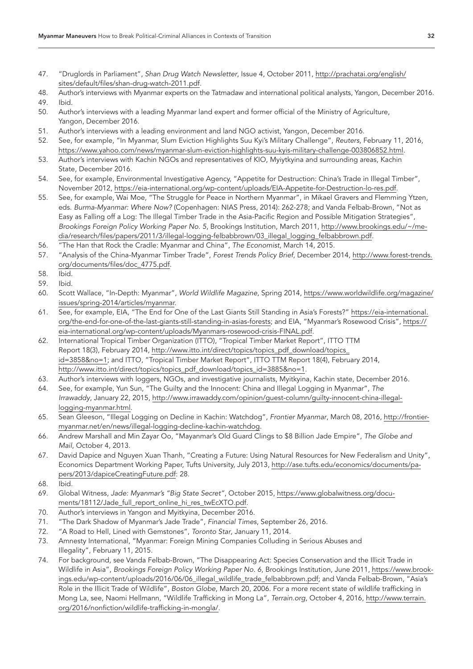- <span id="page-31-0"></span>47. "Druglords in Parliament", *Shan Drug Watch Newsletter*, Issue 4, October 2011, [http://prachatai.org/english/](http://prachatai.org/english/sites/default/files/shan-drug-watch-2011.pdf) [sites/default/files/shan-drug-watch-2011.pdf](http://prachatai.org/english/sites/default/files/shan-drug-watch-2011.pdf).
- <span id="page-31-2"></span><span id="page-31-1"></span>48. Author's interviews with Myanmar experts on the Tatmadaw and international political analysts, Yangon, December 2016. 49. Ibid.
- <span id="page-31-3"></span>50. Author's interviews with a leading Myanmar land expert and former official of the Ministry of Agriculture, Yangon, December 2016.
- <span id="page-31-4"></span>51. Author's interviews with a leading environment and land NGO activist, Yangon, December 2016.
- <span id="page-31-5"></span>52. See, for example, "In Myanmar, Slum Eviction Highlights Suu Kyi's Military Challenge", *Reuters*, February 11, 2016, [https://www.yahoo.com/news/myanmar-slum-eviction-highlights-suu-kyis-military-challenge-003806852.html.](https://www.yahoo.com/news/myanmar-slum-eviction-highlights-suu-kyis-military-challenge-003806852.html)
- <span id="page-31-6"></span>53. Author's interviews with Kachin NGOs and representatives of KIO, Myiytkyina and surrounding areas, Kachin State, December 2016.
- <span id="page-31-7"></span>54. See, for example, Environmental Investigative Agency, "Appetite for Destruction: China's Trade in Illegal Timber", November 2012, [https://eia-international.org/wp-content/uploads/EIA-Appetite-for-Destruction-lo-res.pdf.](https://eia-international.org/wp-content/uploads/EIA-Appetite-for-Destruction-lo-res.pdf)
- <span id="page-31-8"></span>55. See, for example, Wai Moe, "The Struggle for Peace in Northern Myanmar", in Mikael Gravers and Flemming Ytzen, eds. *Burma-Myanmar: Where Now?* (Copenhagen: NIAS Press, 2014): 262-278; and Vanda Felbab-Brown, "Not as Easy as Falling off a Log: The Illegal Timber Trade in the Asia-Pacific Region and Possible Mitigation Strategies", *Brookings Foreign Policy Working Paper No. 5*, Brookings Institution, March 2011, [http://www.brookings.edu/~/me](http://www.brookings.edu/~/media/research/files/papers/2011/3/illegal-logging-felbabbrown/03_illegal_logging_felbabbrown.pdf)[dia/research/files/papers/2011/3/illegal-logging-felbabbrown/03\\_illegal\\_logging\\_felbabbrown.pdf](http://www.brookings.edu/~/media/research/files/papers/2011/3/illegal-logging-felbabbrown/03_illegal_logging_felbabbrown.pdf).
- <span id="page-31-9"></span>56. "The Han that Rock the Cradle: Myanmar and China", *The Economist*, March 14, 2015.
- <span id="page-31-10"></span>57. "Analysis of the China-Myanmar Timber Trade", *Forest Trends Policy Brief*, December 2014, [http://www.forest-trends.](http://www.forest-trends.org/documents/files/doc_4775.pdf) [org/documents/files/doc\\_4775.pdf.](http://www.forest-trends.org/documents/files/doc_4775.pdf)
- <span id="page-31-11"></span>58. Ibid.
- <span id="page-31-12"></span>59. Ibid.
- <span id="page-31-13"></span>60. Scott Wallace, "In-Depth: Myanmar", *World Wildlife Magazine*, Spring 2014, [https://www.worldwildlife.org/magazine/](https://www.worldwildlife.org/magazine/issues/spring-2014/articles/myanmar) [issues/spring-2014/articles/myanmar.](https://www.worldwildlife.org/magazine/issues/spring-2014/articles/myanmar)
- <span id="page-31-14"></span>61. See, for example, EIA, "The End for One of the Last Giants Still Standing in Asia's Forests?" [https://eia-international.](https://eia-international.org/the-end-for-one-of-the-last-giants-still-standing-in-asias-forests) [org/the-end-for-one-of-the-last-giants-still-standing-in-asias-forests;](https://eia-international.org/the-end-for-one-of-the-last-giants-still-standing-in-asias-forests) and EIA, "Myanmar's Rosewood Crisis", [https://](https://eia-international.org/wp-content/uploads/Myanmars-rosewood-crisis-FINAL.pdf) [eia-international.org/wp-content/uploads/Myanmars-rosewood-crisis-FINAL.pdf](https://eia-international.org/wp-content/uploads/Myanmars-rosewood-crisis-FINAL.pdf).
- <span id="page-31-15"></span>62. International Tropical Timber Organization (ITTO), "Tropical Timber Market Report", ITTO TTM Report 18(3), February 2014, [http://www.itto.int/direct/topics/topics\\_pdf\\_download/topics\\_](http://www.itto.int/direct/topics/topics_pdf_download/topics_id=3858&no=1) [id=3858&no=1](http://www.itto.int/direct/topics/topics_pdf_download/topics_id=3858&no=1); and ITTO, "Tropical Timber Market Report", ITTO TTM Report 18(4), February 2014, [http://www.itto.int/direct/topics/topics\\_pdf\\_download/topics\\_id=3885&no=1](http://www.itto.int/direct/topics/topics_pdf_download/topics_id=3885&no=1).
- <span id="page-31-16"></span>63. Author's interviews with loggers, NGOs, and investigative journalists, Myitkyina, Kachin state, December 2016.
- <span id="page-31-17"></span>64. See, for example, Yun Sun, "The Guilty and the Innocent: China and Illegal Logging in Myanmar", *The Irrawaddy*, January 22, 2015, [http://www.irrawaddy.com/opinion/guest-column/guilty-innocent-china-illegal](http://www.irrawaddy.com/opinion/guest-column/guilty-innocent-china-illegal-logging-myanmar.html)[logging-myanmar.html](http://www.irrawaddy.com/opinion/guest-column/guilty-innocent-china-illegal-logging-myanmar.html).
- <span id="page-31-18"></span>65. Sean Gleeson, "Illegal Logging on Decline in Kachin: Watchdog", *Frontier Myanmar*, March 08, 2016, [http://frontier](http://frontiermyanmar.net/en/news/illegal-logging-decline-kachin-watchdog)[myanmar.net/en/news/illegal-logging-decline-kachin-watchdog](http://frontiermyanmar.net/en/news/illegal-logging-decline-kachin-watchdog).
- <span id="page-31-19"></span>66. Andrew Marshall and Min Zayar Oo, "Mayanmar's Old Guard Clings to \$8 Billion Jade Empire", *The Globe and Mail*, October 4, 2013.
- <span id="page-31-20"></span>67. David Dapice and Nguyen Xuan Thanh, "Creating a Future: Using Natural Resources for New Federalism and Unity", Economics Department Working Paper, Tufts University, July 2013, [http://ase.tufts.edu/economics/documents/pa](http://ase.tufts.edu/economics/documents/papers/2013/dapiceCreatingFuture.pdf)[pers/2013/dapiceCreatingFuture.pdf](http://ase.tufts.edu/economics/documents/papers/2013/dapiceCreatingFuture.pdf): 28.
- <span id="page-31-21"></span>68. Ibid.
- <span id="page-31-22"></span>69. Global Witness, *Jade: Myanmar's "Big State Secret"*, October 2015, [https://www.globalwitness.org/docu](https://www.globalwitness.org/documents/18112/Jade_full_report_online_hi_res_twEcXTO.pdf)[ments/18112/Jade\\_full\\_report\\_online\\_hi\\_res\\_twEcXTO.pdf](https://www.globalwitness.org/documents/18112/Jade_full_report_online_hi_res_twEcXTO.pdf).
- <span id="page-31-23"></span>70. Author's interviews in Yangon and Myitkyina, December 2016.
- <span id="page-31-24"></span>71. "The Dark Shadow of Myanmar's Jade Trade", *Financial Times*, September 26, 2016.
- <span id="page-31-25"></span>72. "A Road to Hell, Lined with Gemstones", *Toronto Star*, January 11, 2014.
- <span id="page-31-26"></span>73. Amnesty International, "Myanmar: Foreign Mining Companies Colluding in Serious Abuses and Illegality", February 11, 2015.
- <span id="page-31-27"></span>74. For background, see Vanda Felbab-Brown, "The Disappearing Act: Species Conservation and the Illicit Trade in Wildlife in Asia", *Brookings Foreign Policy Working Paper No. 6*, Brookings Institution, June 2011, [https://www.brook](https://www.brookings.edu/wp-content/uploads/2016/06/06_illegal_wildlife_trade_felbabbrown.pdf)[ings.edu/wp-content/uploads/2016/06/06\\_illegal\\_wildlife\\_trade\\_felbabbrown.pdf;](https://www.brookings.edu/wp-content/uploads/2016/06/06_illegal_wildlife_trade_felbabbrown.pdf) and Vanda Felbab-Brown, "Asia's Role in the Illicit Trade of Wildlife", *Boston Globe*, March 20, 2006. For a more recent state of wildlife trafficking in Mong La, see, Naomi Hellmann, "Wildlife Trafficking in Mong La", *Terrain.org*, October 4, 2016, [http://www.terrain.](http://www.terrain.org/2016/nonfiction/wildlife-trafficking-in-mongla/) [org/2016/nonfiction/wildlife-trafficking-in-mongla/.](http://www.terrain.org/2016/nonfiction/wildlife-trafficking-in-mongla/)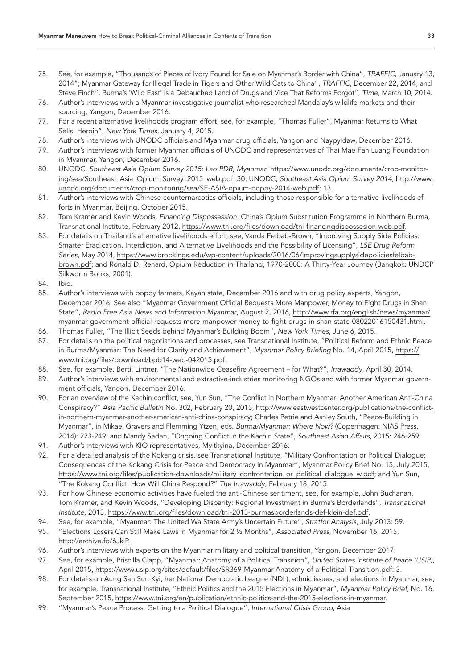- <span id="page-32-0"></span>75. See, for example, "Thousands of Pieces of Ivory Found for Sale on Myanmar's Border with China", *TRAFFIC*, January 13, 2014"; Myanmar Gateway for Illegal Trade in Tigers and Other Wild Cats to China", *TRAFFIC*, December 22, 2014; and Steve Finch", Burma's 'Wild East' Is a Debauched Land of Drugs and Vice That Reforms Forgot", *Time*, March 10, 2014.
- <span id="page-32-1"></span>76. Author's interviews with a Myanmar investigative journalist who researched Mandalay's wildlife markets and their sourcing, Yangon, December 2016.
- <span id="page-32-2"></span>77. For a recent alternative livelihoods program effort, see, for example, "Thomas Fuller", Myanmar Returns to What Sells: Heroin", *New York Times*, January 4, 2015.
- <span id="page-32-3"></span>78. Author's interviews with UNODC officials and Myanmar drug officials, Yangon and Naypyidaw, December 2016.
- <span id="page-32-4"></span>79. Author's interviews with former Myanmar officials of UNODC and representatives of Thai Mae Fah Luang Foundation in Myanmar, Yangon, December 2016.
- <span id="page-32-5"></span>80. UNODC, *Southeast Asia Opium Survey 2015: Lao PDR, Myanmar*, [https://www.unodc.org/documents/crop-monitor](https://www.unodc.org/documents/crop-monitoring/sea/Southeast_Asia_Opium_Survey_2015_web.pdf)[ing/sea/Southeast\\_Asia\\_Opium\\_Survey\\_2015\\_web.pdf](https://www.unodc.org/documents/crop-monitoring/sea/Southeast_Asia_Opium_Survey_2015_web.pdf): 30; UNODC, *Southeast Asia Opium Survey 2014*, [http://www.](http://www.unodc.org/documents/crop-monitoring/sea/SE-ASIA-opium-poppy-2014-web.pdf) [unodc.org/documents/crop-monitoring/sea/SE-ASIA-opium-poppy-2014-web.pdf:](http://www.unodc.org/documents/crop-monitoring/sea/SE-ASIA-opium-poppy-2014-web.pdf) 13.
- <span id="page-32-6"></span>81. Author's interviews with Chinese counternarcotics officials, including those responsible for alternative livelihoods efforts in Myanmar, Beijing, October 2015.
- <span id="page-32-7"></span>82. Tom Kramer and Kevin Woods, *Financing Dispossession*: China's Opium Substitution Programme in Northern Burma, Transnational Institute, February 2012, [https://www.tni.org/files/download/tni-financingdispossesion-web.pdf.](https://www.tni.org/files/download/tni-financingdispossesion-web.pdf)
- <span id="page-32-8"></span>83. For details on Thailand's alternative livelihoods effort, see, Vanda Felbab-Brown, "Improving Supply Side Policies: Smarter Eradication, Interdiction, and Alternative Livelihoods and the Possibility of Licensing", *LSE Drug Reform Series*, May 2014, [https://www.brookings.edu/wp-content/uploads/2016/06/improvingsupplysidepoliciesfelbab](https://www.brookings.edu/wp-content/uploads/2016/06/improvingsupplysidepoliciesfelbabbrown.pdf)[brown.pdf](https://www.brookings.edu/wp-content/uploads/2016/06/improvingsupplysidepoliciesfelbabbrown.pdf); and Ronald D. Renard, Opium Reduction in Thailand, 1970-2000: A Thirty-Year Journey (Bangkok: UNDCP Silkworm Books, 2001).
- <span id="page-32-9"></span>84. Ibid.
- <span id="page-32-10"></span>85. Author's interviews with poppy farmers, Kayah state, December 2016 and with drug policy experts, Yangon, December 2016. See also "Myanmar Government Official Requests More Manpower, Money to Fight Drugs in Shan State", *Radio Free Asia News and Information Myanmar*, August 2, 2016, [http://www.rfa.org/english/news/myanmar/](http://www.rfa.org/english/news/myanmar/myanmar-government-official-requests-more-manpower-money-to-fight-drugs-in-shan-state-08022016150431.html) [myanmar-government-official-requests-more-manpower-money-to-fight-drugs-in-shan-state-08022016150431.html.](http://www.rfa.org/english/news/myanmar/myanmar-government-official-requests-more-manpower-money-to-fight-drugs-in-shan-state-08022016150431.html)
- <span id="page-32-11"></span>86. Thomas Fuller, "The Illicit Seeds behind Myanmar's Building Boom", *New York Times*, June 6, 2015.
- <span id="page-32-12"></span>87. For details on the political negotiations and processes, see Transnational Institute, "Political Reform and Ethnic Peace in Burma/Myanmar: The Need for Clarity and Achievement", *Myanmar Policy Briefing* No. 14, April 2015, [https://](https://www.tni.org/files/download/bpb14-web-042015.pdf) [www.tni.org/files/download/bpb14-web-042015.pdf](https://www.tni.org/files/download/bpb14-web-042015.pdf).
- <span id="page-32-13"></span>88. See, for example, Bertil Lintner, "The Nationwide Ceasefire Agreement – for What?", *Irrawaddy*, April 30, 2014.
- <span id="page-32-14"></span>89. Author's interviews with environmental and extractive-industries monitoring NGOs and with former Myanmar government officials, Yangon, December 2016.
- <span id="page-32-15"></span>90. For an overview of the Kachin conflict, see, Yun Sun, "The Conflict in Northern Myanmar: Another American Anti-China Conspiracy?" *Asia Pacific Bulletin* No. 302, February 20, 2015, [http://www.eastwestcenter.org/publications/the-conflict](http://www.eastwestcenter.org/publications/the-conflict-in-northern-myanmar-another-american-anti-china-conspiracy)[in-northern-myanmar-another-american-anti-china-conspiracy;](http://www.eastwestcenter.org/publications/the-conflict-in-northern-myanmar-another-american-anti-china-conspiracy) Charles Petrie and Ashley South, "Peace-Building in Myanmar", in Mikael Gravers and Flemming Ytzen, eds. *Burma/Myanmar: Where Now?* (Copenhagen: NIAS Press, 2014): 223-249; and Mandy Sadan, "Ongoing Conflict in the Kachin State", *Southeast Asian Affairs*, 2015: 246-259.
- <span id="page-32-16"></span>91. Author's interviews with KIO representatives, Myitkyina, December 2016.
- <span id="page-32-17"></span>92. For a detailed analysis of the Kokang crisis, see Transnational Institute, "Military Confrontation or Political Dialogue: Consequences of the Kokang Crisis for Peace and Democracy in Myanmar", Myanmar Policy Brief No. 15, July 2015, [https://www.tni.org/files/publication-downloads/military\\_confrontation\\_or\\_political\\_dialogue\\_w.pdf](https://www.tni.org/files/publication-downloads/military_confrontation_or_political_dialogue_w.pdf); and Yun Sun, "The Kokang Conflict: How Will China Respond?" *The Irrawaddy*, February 18, 2015.
- <span id="page-32-18"></span>93. For how Chinese economic activities have fueled the anti-Chinese sentiment, see, for example, John Buchanan, Tom Kramer, and Kevin Woods, "Developing Disparity: Regional Investment in Burma's Borderlands", *Transnational Institute*, 2013, [https://www.tni.org/files/download/tni-2013-burmasborderlands-def-klein-def.pdf.](https://www.tni.org/files/download/tni-2013-burmasborderlands-def-klein-def.pdf)
- <span id="page-32-19"></span>94. See, for example, "Myanmar: The United Wa State Army's Uncertain Future", *Stratfor Analysis*, July 2013: 59.
- <span id="page-32-20"></span>95. "Elections Losers Can Still Make Laws in Myanmar for 2 ½ Months", *Associated Press*, November 16, 2015, <http://archive.fo/6JklP>.
- <span id="page-32-21"></span>96. Author's interviews with experts on the Myanmar military and political transition, Yangon, December 2017.
- <span id="page-32-22"></span>97. See, for example, Priscilla Clapp, "Myanmar: Anatomy of a Political Transition", *United States Institute of Peace (USIP)*, April 2015, [https://www.usip.org/sites/default/files/SR369-Myanmar-Anatomy-of-a-Political-Transition.pdf:](https://www.usip.org/sites/default/files/SR369-Myanmar-Anatomy-of-a-Political-Transition.pdf) 3.
- <span id="page-32-23"></span>98. For details on Aung San Suu Kyi, her National Democratic League (NDL), ethnic issues, and elections in Myanmar, see, for example, Transnational Institute, "Ethnic Politics and the 2015 Elections in Myanmar", *Myanmar Policy Brief*, No. 16, September 2015, [https://www.tni.org/en/publication/ethnic-politics-and-the-2015-elections-in-myanmar.](https://www.tni.org/en/publication/ethnic-politics-and-the-2015-elections-in-myanmar)
- <span id="page-32-24"></span>99. "Myanmar's Peace Process: Getting to a Political Dialogue", *International Crisis Group*, Asia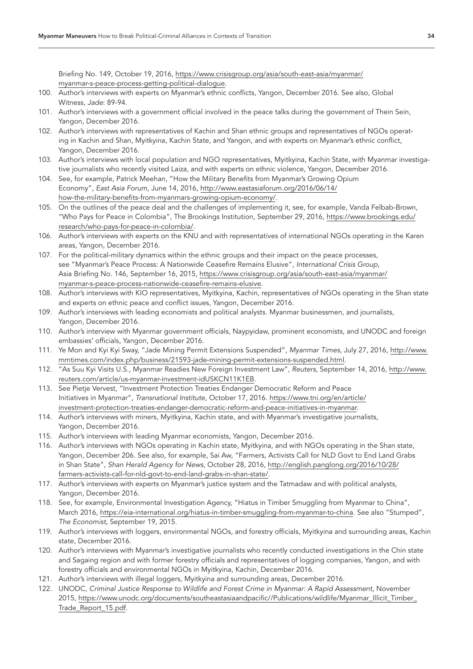<span id="page-33-0"></span>Briefing No. 149, October 19, 2016, [https://www.crisisgroup.org/asia/south-east-asia/myanmar/](https://www.crisisgroup.org/asia/south-east-asia/myanmar/myanmar-s-peace-process-getting-political-dialogue) [myanmar-s-peace-process-getting-political-dialogue](https://www.crisisgroup.org/asia/south-east-asia/myanmar/myanmar-s-peace-process-getting-political-dialogue).

- 100. Author's interviews with experts on Myanmar's ethnic conflicts, Yangon, December 2016. See also, Global Witness, *Jade*: 89-94.
- <span id="page-33-1"></span>101. Author's interviews with a government official involved in the peace talks during the government of Thein Sein, Yangon, December 2016.
- <span id="page-33-2"></span>102. Author's interviews with representatives of Kachin and Shan ethnic groups and representatives of NGOs operating in Kachin and Shan, Myitkyina, Kachin State, and Yangon, and with experts on Myanmar's ethnic conflict, Yangon, December 2016.
- <span id="page-33-3"></span>103. Author's interviews with local population and NGO representatives, Myitkyina, Kachin State, with Myanmar investigative journalists who recently visited Laiza, and with experts on ethnic violence, Yangon, December 2016.
- <span id="page-33-4"></span>104. See, for example, Patrick Meehan, "How the Military Benefits from Myanmar's Growing Opium Economy", *East Asia Forum*, June 14, 2016, [http://www.eastasiaforum.org/2016/06/14/](http://www.eastasiaforum.org/2016/06/14/how-the-military-benefits-from-myanmars-growing-opium-economy/) [how-the-military-benefits-from-myanmars-growing-opium-economy/.](http://www.eastasiaforum.org/2016/06/14/how-the-military-benefits-from-myanmars-growing-opium-economy/)
- <span id="page-33-5"></span>105. On the outlines of the peace deal and the challenges of implementing it, see, for example, Vanda Felbab-Brown, "Who Pays for Peace in Colombia", The Brookings Institution, September 29, 2016, [https://www.brookings.edu/](https://www.brookings.edu/research/who-pays-for-peace-in-colombia/) [research/who-pays-for-peace-in-colombia/](https://www.brookings.edu/research/who-pays-for-peace-in-colombia/).
- <span id="page-33-6"></span>106. Author's interviews with experts on the KNU and with representatives of international NGOs operating in the Karen areas, Yangon, December 2016.
- <span id="page-33-7"></span>107. For the political-military dynamics within the ethnic groups and their impact on the peace processes, see "Myanmar's Peace Process: A Nationwide Ceasefire Remains Elusive", *International Crisis Group*, Asia Briefing No. 146, September 16, 2015, [https://www.crisisgroup.org/asia/south-east-asia/myanmar/](https://www.crisisgroup.org/asia/south-east-asia/myanmar/myanmar-s-peace-process-nationwide-ceasefire-remains-elusive) [myanmar-s-peace-process-nationwide-ceasefire-remains-elusive.](https://www.crisisgroup.org/asia/south-east-asia/myanmar/myanmar-s-peace-process-nationwide-ceasefire-remains-elusive)
- <span id="page-33-8"></span>108. Author's interviews with KIO representatives, Myitkyina, Kachin, representatives of NGOs operating in the Shan state and experts on ethnic peace and conflict issues, Yangon, December 2016.
- <span id="page-33-9"></span>109. Author's interviews with leading economists and political analysts. Myanmar businessmen, and journalists, Yangon, December 2016.
- <span id="page-33-10"></span>110. Author's interview with Myanmar government officials, Naypyidaw, prominent economists, and UNODC and foreign embassies' officials, Yangon, December 2016.
- <span id="page-33-11"></span>111. Ye Mon and Kyi Kyi Sway, "Jade Mining Permit Extensions Suspended", *Myanmar Times*, July 27, 2016, [http://www.](http://www.mmtimes.com/index.php/business/21593-jade-mining-permit-extensions-suspended.html) [mmtimes.com/index.php/business/21593-jade-mining-permit-extensions-suspended.html.](http://www.mmtimes.com/index.php/business/21593-jade-mining-permit-extensions-suspended.html)
- <span id="page-33-12"></span>112. "As Suu Kyi Visits U.S., Myanmar Readies New Foreign Investment Law", *Reuters*, September 14, 2016, [http://www.](http://www.reuters.com/article/us-myanmar-investment-idUSKCN11K1EB) [reuters.com/article/us-myanmar-investment-idUSKCN11K1EB](http://www.reuters.com/article/us-myanmar-investment-idUSKCN11K1EB).
- <span id="page-33-13"></span>113. See Pietje Vervest, "Investment Protection Treaties Endanger Democratic Reform and Peace Initiatives in Myanmar", *Transnational Institute*, October 17, 2016. [https://www.tni.org/en/article/](https://www.tni.org/en/article/investment-protection-treaties-endanger-democratic-reform-and-peace-initiatives-in-myanmar) [investment-protection-treaties-endanger-democratic-reform-and-peace-initiatives-in-myanmar.](https://www.tni.org/en/article/investment-protection-treaties-endanger-democratic-reform-and-peace-initiatives-in-myanmar)
- <span id="page-33-14"></span>114. Author's interviews with miners, Myitkyina, Kachin state, and with Myanmar's investigative journalists, Yangon, December 2016.
- <span id="page-33-15"></span>115. Author's interviews with leading Myanmar economists, Yangon, December 2016.
- <span id="page-33-16"></span>116. Author's interviews with NGOs operating in Kachin state, Myitkyina, and with NGOs operating in the Shan state, Yangon, December 206. See also, for example, Sai Aw, "Farmers, Activists Call for NLD Govt to End Land Grabs in Shan State", *Shan Herald Agency for News*, October 28, 2016, [http://english.panglong.org/2016/10/28/](http://english.panglong.org/2016/10/28/farmers-activists-call-for-nld-govt-to-end-land-grabs-in-shan-state/) [farmers-activists-call-for-nld-govt-to-end-land-grabs-in-shan-state/.](http://english.panglong.org/2016/10/28/farmers-activists-call-for-nld-govt-to-end-land-grabs-in-shan-state/)
- <span id="page-33-17"></span>117. Author's interviews with experts on Myanmar's justice system and the Tatmadaw and with political analysts, Yangon, December 2016.
- <span id="page-33-18"></span>118. See, for example, Environmental Investigation Agency, "Hiatus in Timber Smuggling from Myanmar to China", March 2016, [https://eia-international.org/hiatus-in-timber-smuggling-from-myanmar-to-china.](https://eia-international.org/hiatus-in-timber-smuggling-from-myanmar-to-china) See also "Stumped", *The Economist*, September 19, 2015.
- <span id="page-33-19"></span>119. Author's interviews with loggers, environmental NGOs, and forestry officials, Myitkyina and surrounding areas, Kachin state, December 2016.
- <span id="page-33-20"></span>120. Author's interviews with Myanmar's investigative journalists who recently conducted investigations in the Chin state and Sagaing region and with former forestry officials and representatives of logging companies, Yangon, and with forestry officials and environmental NGOs in Myitkyina, Kachin, December 2016.
- <span id="page-33-21"></span>121. Author's interviews with illegal loggers, Myitkyina and surrounding areas, December 2016.
- <span id="page-33-22"></span>122. UNODC, *Criminal Justice Response to Wildlife and Forest Crime in Myanmar: A Rapid Assessment*, November 2015, [https://www.unodc.org/documents/southeastasiaandpacific//Publications/wildlife/Myanmar\\_Illicit\\_Timber\\_](https://www.unodc.org/documents/southeastasiaandpacific//Publications/wildlife/Myanmar_Illicit_Timber_Trade_Report_15.pdf) [Trade\\_Report\\_15.pdf.](https://www.unodc.org/documents/southeastasiaandpacific//Publications/wildlife/Myanmar_Illicit_Timber_Trade_Report_15.pdf)